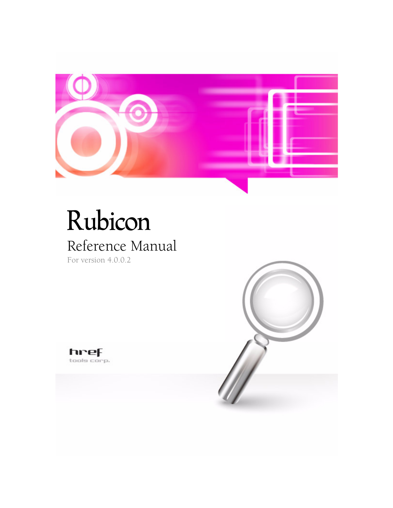

# **Rubicon** Reference Manual

For version 4.0.0.2



href tools corp.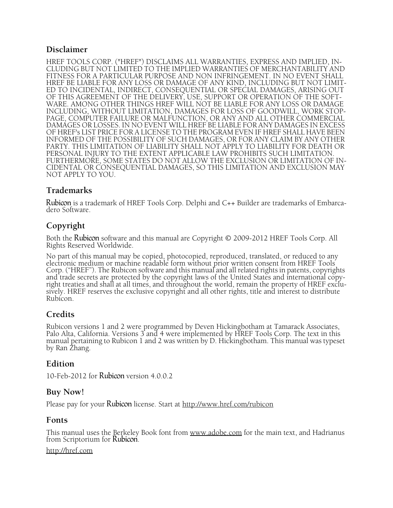# **Disclaimer**

HREF TOOLS CORP. ("HREF") DISCLAIMS ALL WARRANTIES, EXPRESS AND IMPLIED, IN-CLUDING BUT NOT LIMITED TO THE IMPLIED WARRANTIES OF MERCHANTABILITY AND FITNESS FOR A PARTICULAR PURPOSE AND NON INFRINGEMENT. IN NO EVENT SHALL HREF BE LIABLE FOR ANY LOSS OR DAMAGE OF ANY KIND, INCLUDING BUT NOT LIMIT-ED TO INCIDENTAL, INDIRECT, CONSEQUENTIAL OR SPECIAL DAMAGES, ARISING OUT OF THIS AGREEMENT OF THE DELIVERY, USE, SUPPORT OR OPERATION OF THE SOFT-WARE. AMONG OTHER THINGS HREF WILL NOT BE LIABLE FOR ANY LOSS OR DAMAGE INCLUDING, WITHOUT LIMITATION, DAMAGES FOR LOSS OF GOODWILL, WORK STOP-PAGE, COMPUTER FAILURE OR MALFUNCTION, OR ANY AND ALL OTHER COMMERCIAL DAMAGES OR LOSSES. IN NO EVENT WILL HREF BE LIABLE FOR ANY DAMAGES IN EXCESS OF HREF's LIST PRICE FOR A LICENSE TO THE PROGRAM EVEN IF HREF SHALL HAVE BEEN INFORMED OF THE POSSIBILITY OF SUCH DAMAGES, OR FOR ANY CLAIM BY ANY OTHER PARTY. THIS LIMITATION OF LIABILITY SHALL NOT APPLY TO LIABILITY FOR DEATH OR PERSONAL INJURY TO THE EXTENT APPLICABLE LAW PROHIBITS SUCH LIMITATION. FURTHERMORE, SOME STATES DO NOT ALLOW THE EXCLUSION OR LIMITATION OF IN-CIDENTAL OR CONSEQUENTIAL DAMAGES, SO THIS LIMITATION AND EXCLUSION MAY NOT APPLY TO YOU.

# **Trademarks**

Rubicon is a trademark of HREF Tools Corp. Delphi and C++ Builder are trademarks of Embarca- dero Software.

# **Copyright**

Both the Rubicon software and this manual are Copyright © 2009-2012 HREF Tools Corp. All Rights Reserved Worldwide.

No part of this manual may be copied, photocopied, reproduced, translated, or reduced to any electronic medium or machine readable form without prior written consent from HREF Tools Corp. ("HREF"). The Rubicon software and this manual and all related rights in patents, copyrights and trade secrets are protected by the copyright laws of the United States and international copyright treaties and shall at all times, and throughout the world, remain the property of HREF exclusively. HREF reserves the exclusive copyright and all other rights, title and interest to distribute Rubicon.

# **Credits**

Rubicon versions 1 and 2 were programmed by Deven Hickingbotham at Tamarack Associates,<br>Palo Alta, California. Versions 3 and 4 were implemented by HREF Tools Corp. The text in this<br>manual pertaining to Rubicon 1 and 2 was by Ran Zhang.

# **Edition**

10-Feb-2012 for Rubicon version 4.0.0.2

# **Buy Now!**

Please pay for your Rubicon [license. Start at](http://www.href.com/rsu) http://www.href.com/rubicon

# **Fonts**

[This manual uses the Berkeley Book font from](http://www.adobe.com) www.adobe.com for the main text, and Hadrianus from Scriptorium for Rubicon.

#### http://href.com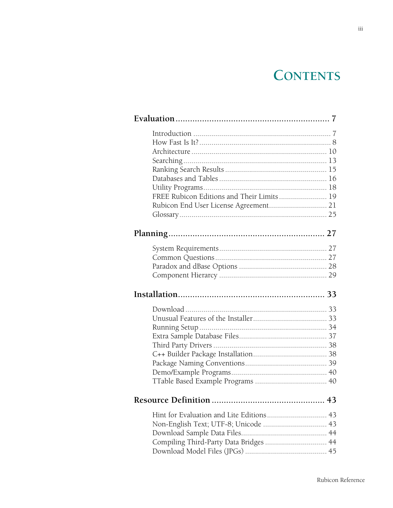# **CONTENTS**

| FREE Rubicon Editions and Their Limits 19 |    |
|-------------------------------------------|----|
|                                           |    |
|                                           |    |
|                                           |    |
|                                           |    |
|                                           |    |
|                                           |    |
|                                           |    |
|                                           |    |
|                                           |    |
|                                           |    |
|                                           |    |
|                                           |    |
|                                           |    |
|                                           |    |
|                                           |    |
|                                           |    |
|                                           |    |
|                                           |    |
|                                           |    |
|                                           | 43 |
|                                           |    |
|                                           |    |
|                                           |    |
|                                           |    |
| Compiling Third-Party Data Bridges  44    |    |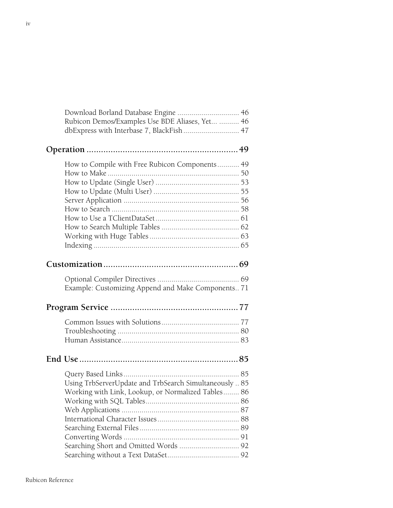| Rubicon Demos/Examples Use BDE Aliases, Yet  46<br>dbExpress with Interbase 7, BlackFish 47                  |  |
|--------------------------------------------------------------------------------------------------------------|--|
|                                                                                                              |  |
| How to Compile with Free Rubicon Components 49                                                               |  |
|                                                                                                              |  |
| Example: Customizing Append and Make Components 71                                                           |  |
|                                                                                                              |  |
|                                                                                                              |  |
|                                                                                                              |  |
| Using TrbServerUpdate and TrbSearch Simultaneously  85<br>Working with Link, Lookup, or Normalized Tables 86 |  |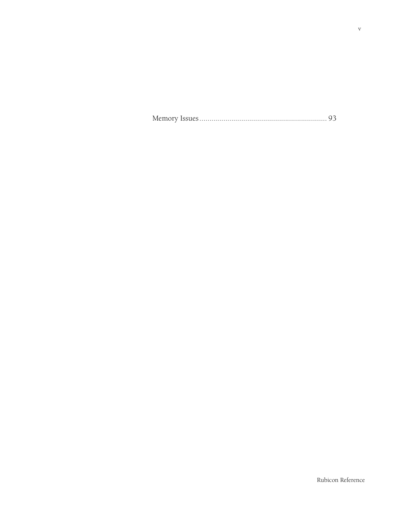[Memory Issues................................................................ 93](#page-92-0)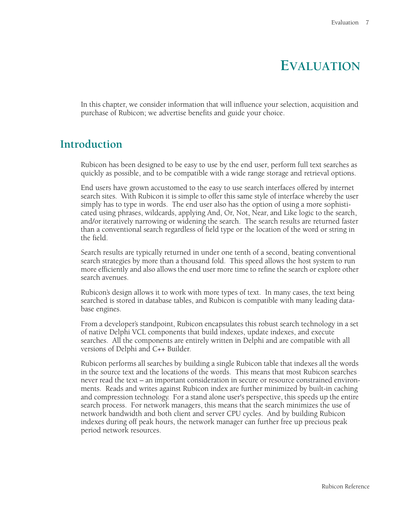# **EVALUATION**

<span id="page-6-0"></span>In this chapter, we consider information that will influence your selection, acquisition and purchase of Rubicon; we advertise benefits and guide your choice.

# <span id="page-6-1"></span>**Introduction**

Rubicon has been designed to be easy to use by the end user, perform full text searches as quickly as possible, and to be compatible with a wide range storage and retrieval options.

End users have grown accustomed to the easy to use search interfaces offered by internet search sites. With Rubicon it is simple to offer this same style of interface whereby the user simply has to type in words. The end user also has the option of using a more sophisticated using phrases, wildcards, applying And, Or, Not, Near, and Like logic to the search, and/or iteratively narrowing or widening the search. The search results are returned faster than a conventional search regardless of field type or the location of the word or string in the field.

Search results are typically returned in under one tenth of a second, beating conventional search strategies by more than a thousand fold. This speed allows the host system to run more efficiently and also allows the end user more time to refine the search or explore other search avenues.

Rubicon's design allows it to work with more types of text. In many cases, the text being searched is stored in database tables, and Rubicon is compatible with many leading database engines.

From a developer's standpoint, Rubicon encapsulates this robust search technology in a set of native Delphi VCL components that build indexes, update indexes, and execute searches. All the components are entirely written in Delphi and are compatible with all versions of Delphi and C++ Builder.

Rubicon performs all searches by building a single Rubicon table that indexes all the words in the source text and the locations of the words. This means that most Rubicon searches never read the text – an important consideration in secure or resource constrained environments. Reads and writes against Rubicon index are further minimized by built-in caching and compression technology. For a stand alone user's perspective, this speeds up the entire search process. For network managers, this means that the search minimizes the use of network bandwidth and both client and server CPU cycles. And by building Rubicon indexes during off peak hours, the network manager can further free up precious peak period network resources.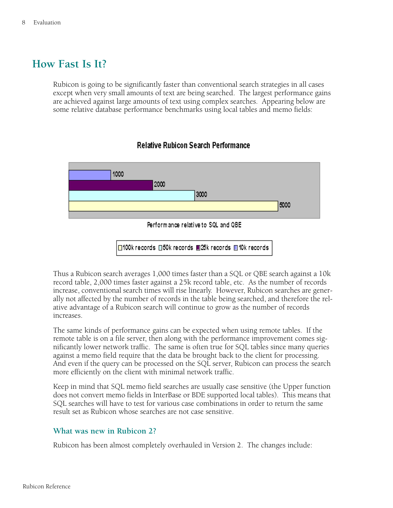# <span id="page-7-0"></span>**How Fast Is It?**

Rubicon is going to be significantly faster than conventional search strategies in all cases except when very small amounts of text are being searched. The largest performance gains are achieved against large amounts of text using complex searches. Appearing below are some relative database performance benchmarks using local tables and memo fields:



# **Relative Rubicon Search Performance**

Thus a Rubicon search averages 1,000 times faster than a SQL or QBE search against a 10k record table, 2,000 times faster against a 25k record table, etc. As the number of records increase, conventional search times will rise linearly. However, Rubicon searches are generally not affected by the number of records in the table being searched, and therefore the relative advantage of a Rubicon search will continue to grow as the number of records increases.

The same kinds of performance gains can be expected when using remote tables. If the remote table is on a file server, then along with the performance improvement comes significantly lower network traffic. The same is often true for SQL tables since many queries against a memo field require that the data be brought back to the client for processing. And even if the query can be processed on the SQL server, Rubicon can process the search more efficiently on the client with minimal network traffic.

Keep in mind that SQL memo field searches are usually case sensitive (the Upper function does not convert memo fields in InterBase or BDE supported local tables). This means that SQL searches will have to test for various case combinations in order to return the same result set as Rubicon whose searches are not case sensitive.

# **What was new in Rubicon 2?**

Rubicon has been almost completely overhauled in Version 2. The changes include: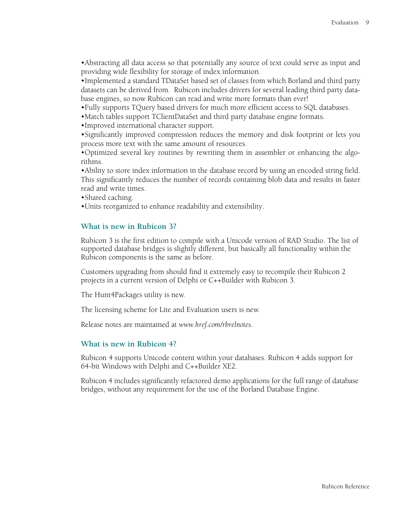•Abstracting all data access so that potentially any source of text could serve as input and providing wide flexibility for storage of index information.

•Implemented a standard TDataSet based set of classes from which Borland and third party datasets can be derived from. Rubicon includes drivers for several leading third party database engines, so now Rubicon can read and write more formats than ever!

•Fully supports TQuery based drivers for much more efficient access to SQL databases.

•Match tables support TClientDataSet and third party database engine formats.

•Improved international character support.

•Significantly improved compression reduces the memory and disk footprint or lets you process more text with the same amount of resources.

•Optimized several key routines by rewriting them in assembler or enhancing the algorithms.

•Ability to store index information in the database record by using an encoded string field. This significantly reduces the number of records containing blob data and results in faster read and write times.

•Shared caching.

•Units reorganized to enhance readability and extensibility.

#### **What is new in Rubicon 3?**

Rubicon 3 is the first edition to compile with a Unicode version of RAD Studio. The list of supported database bridges is slightly different, but basically all functionality within the Rubicon components is the same as before.

Customers upgrading from should find it extremely easy to recompile their Rubicon 2 projects in a current version of Delphi or C++Builder with Rubicon 3.

The Hunt4Packages utility is new.

The licensing scheme for Lite and Evaluation users is new.

Release notes are maintained at *www.href.com/rbrelnotes*.

### **What is new in Rubicon 4?**

Rubicon 4 supports Unicode content within your databases. Rubicon 4 adds support for 64-bit Windows with Delphi and C++Builder XE2.

Rubicon 4 includes significantly refactored demo applications for the full range of database bridges, without any requirement for the use of the Borland Database Engine.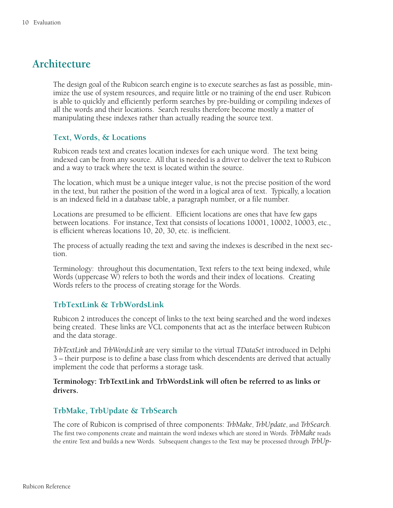# <span id="page-9-0"></span>**Architecture**

The design goal of the Rubicon search engine is to execute searches as fast as possible, minimize the use of system resources, and require little or no training of the end user. Rubicon is able to quickly and efficiently perform searches by pre-building or compiling indexes of all the words and their locations. Search results therefore become mostly a matter of manipulating these indexes rather than actually reading the source text.

# **Text, Words, & Locations**

Rubicon reads text and creates location indexes for each unique word. The text being indexed can be from any source. All that is needed is a driver to deliver the text to Rubicon and a way to track where the text is located within the source.

The location, which must be a unique integer value, is not the precise position of the word in the text, but rather the position of the word in a logical area of text. Typically, a location is an indexed field in a database table, a paragraph number, or a file number.

Locations are presumed to be efficient. Efficient locations are ones that have few gaps between locations. For instance, Text that consists of locations 10001, 10002, 10003, etc., is efficient whereas locations 10, 20, 30, etc. is inefficient.

The process of actually reading the text and saving the indexes is described in the next section.

Terminology: throughout this documentation, Text refers to the text being indexed, while Words (uppercase W) refers to both the words and their index of locations. Creating Words refers to the process of creating storage for the Words.

# **TrbTextLink & TrbWordsLink**

Rubicon 2 introduces the concept of links to the text being searched and the word indexes being created. These links are VCL components that act as the interface between Rubicon and the data storage.

*TrbTextLink* and *TrbWordsLink* are very similar to the virtual *TDataSet* introduced in Delphi 3 – their purpose is to define a base class from which descendents are derived that actually implement the code that performs a storage task.

### **Terminology: TrbTextLink and TrbWordsLink will often be referred to as links or drivers.**

# **TrbMake, TrbUpdate & TrbSearch**

The core of Rubicon is comprised of three components: *TrbMake*, *TrbUpdate*, and *TrbSearch*. The first two components create and maintain the word indexes which are stored in Words. *TrbMake* reads the entire Text and builds a new Words. Subsequent changes to the Text may be processed through *TrbUp-*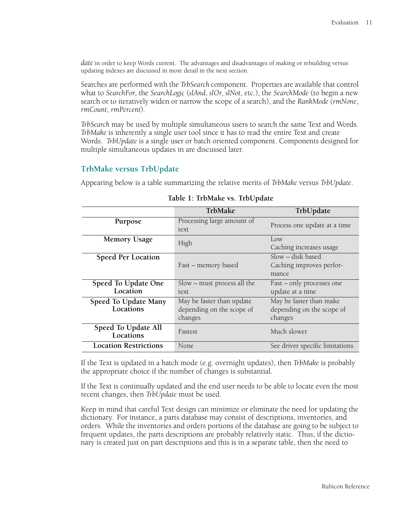*date* in order to keep Words current. The advantages and disadvantages of making or rebuilding versus updating indexes are discussed in more detail in the next section.

Searches are performed with the *TrbSearch* component. Properties are available that control what to *SearchFor*, the *SearchLogic* (*slAnd*, *slOr*, *slNot*, etc.), the *SearchMode* (to begin a new search or to iteratively widen or narrow the scope of a search), and the *RankMode* (*rmNone*, *rmCount*, *rmPercent*).

*TrbSearch* may be used by multiple simultaneous users to search the same Text and Words. *TrbMake* is inherently a single user tool since it has to read the entire Text and create Words. *TrbUpdate* is a single user or batch oriented component. Components designed for multiple simultaneous updates in are discussed later.

#### **TrbMake versus TrbUpdate**

Appearing below is a table summarizing the relative merits of *TrbMake* versus *TrbUpdate*.

|                                   | TrbMake                                                           | TrbUpdate                                                       |
|-----------------------------------|-------------------------------------------------------------------|-----------------------------------------------------------------|
| Purpose                           | Processing large amount of<br>text                                | Process one update at a time                                    |
| <b>Memory Usage</b>               | High                                                              | Low<br>Caching increases usage                                  |
| <b>Speed Per Location</b>         | Fast - memory based                                               | $Slow-disk based$<br>Caching improves perfor-<br>mance          |
| Speed To Update One<br>Location   | Slow - must process all the<br>text                               | Fast – only processes one<br>update at a time                   |
| Speed To Update Many<br>Locations | May be faster than update<br>depending on the scope of<br>changes | May be faster than make<br>depending on the scope of<br>changes |
| Speed To Update All<br>Locations  | Fastest                                                           | Much slower                                                     |
| <b>Location Restrictions</b>      | None.                                                             | See driver specific limitations                                 |

**Table 1: TrbMake vs. TrbUpdate**

If the Text is updated in a batch mode (e.g. overnight updates), then *TrbMake* is probably the appropriate choice if the number of changes is substantial.

If the Text is continually updated and the end user needs to be able to locate even the most recent changes, then *TrbUpdate* must be used.

Keep in mind that careful Text design can minimize or eliminate the need for updating the dictionary. For instance, a parts database may consist of descriptions, inventories, and orders. While the inventories and orders portions of the database are going to be subject to frequent updates, the parts descriptions are probably relatively static. Thus, if the dictionary is created just on part descriptions and this is in a separate table, then the need to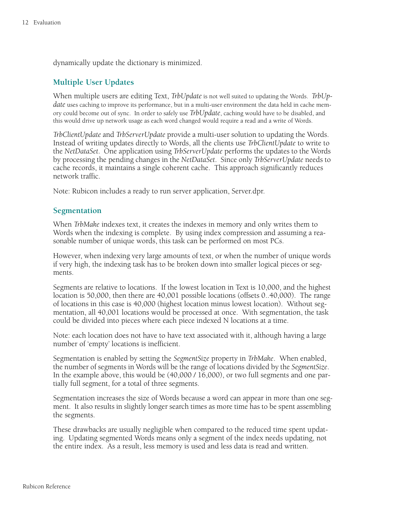dynamically update the dictionary is minimized.

# **Multiple User Updates**

When multiple users are editing Text, *TrbUpdate* is not well suited to updating the Words. *TrbUpdate* uses caching to improve its performance, but in a multi-user environment the data held in cache memory could become out of sync. In order to safely use *TrbUpdate*, caching would have to be disabled, and this would drive up network usage as each word changed would require a read and a write of Words.

*TrbClientUpdate* and *TrbServerUpdate* provide a multi-user solution to updating the Words. Instead of writing updates directly to Words, all the clients use *TrbClientUpdate* to write to the *NetDataSet*. One application using *TrbServerUpdate* performs the updates to the Words by processing the pending changes in the *NetDataSet*. Since only *TrbServerUpdate* needs to cache records, it maintains a single coherent cache. This approach significantly reduces network traffic.

Note: Rubicon includes a ready to run server application, Server.dpr.

### **Segmentation**

When *TrbMake* indexes text, it creates the indexes in memory and only writes them to Words when the indexing is complete. By using index compression and assuming a reasonable number of unique words, this task can be performed on most PCs.

However, when indexing very large amounts of text, or when the number of unique words if very high, the indexing task has to be broken down into smaller logical pieces or segments.

Segments are relative to locations. If the lowest location in Text is 10,000, and the highest location is 50,000, then there are 40,001 possible locations (offsets 0..40,000). The range of locations in this case is 40,000 (highest location minus lowest location). Without segmentation, all 40,001 locations would be processed at once. With segmentation, the task could be divided into pieces where each piece indexed N locations at a time.

Note: each location does not have to have text associated with it, although having a large number of 'empty' locations is inefficient.

Segmentation is enabled by setting the *SegmentSize* property in *TrbMake*. When enabled, the number of segments in Words will be the range of locations divided by the *SegmentSize*. In the example above, this would be (40,000 / 16,000), or two full segments and one partially full segment, for a total of three segments.

Segmentation increases the size of Words because a word can appear in more than one segment. It also results in slightly longer search times as more time has to be spent assembling the segments.

These drawbacks are usually negligible when compared to the reduced time spent updating. Updating segmented Words means only a segment of the index needs updating, not the entire index. As a result, less memory is used and less data is read and written.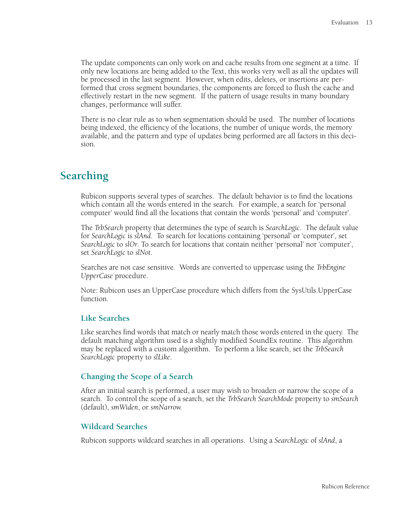The update components can only work on and cache results from one segment at a time. If only new locations are being added to the Text, this works very well as all the updates will be processed in the last segment. However, when edits, deletes, or insertions are performed that cross segment boundaries, the components are forced to flush the cache and effectively restart in the new segment. If the pattern of usage results in many boundary changes, performance will suffer.

There is no clear rule as to when segmentation should be used. The number of locations being indexed, the efficiency of the locations, the number of unique words, the memory available, and the pattern and type of updates being performed are all factors in this decision.

# <span id="page-12-0"></span>**Searching**

Rubicon supports several types of searches. The default behavior is to find the locations which contain all the words entered in the search. For example, a search for 'personal computer' would find all the locations that contain the words 'personal' and 'computer'.

The *TrbSearch* property that determines the type of search is *SearchLogic*. The default value for *SearchLogic* is *slAnd*. To search for locations containing 'personal' or 'computer', set *SearchLogic* to *slOr*. To search for locations that contain neither 'personal' nor 'computer', set *SearchLogic* to *slNot*.

Searches are not case sensitive. Words are converted to uppercase using the *TrbEngine UpperCase* procedure.

Note: Rubicon uses an UpperCase procedure which differs from the SysUtils.UpperCase function.

### **Like Searches**

Like searches find words that match or nearly match those words entered in the query. The default matching algorithm used is a slightly modified SoundEx routine. This algorithm may be replaced with a custom algorithm. To perform a like search, set the *TrbSearch SearchLogic* property to *slLike*.

### **Changing the Scope of a Search**

After an initial search is performed, a user may wish to broaden or narrow the scope of a search. To control the scope of a search, set the *TrbSearch SearchMode* property to *smSearch* (default), *smWiden*, or *smNarrow*.

### **Wildcard Searches**

Rubicon supports wildcard searches in all operations. Using a *SearchLogic* of *slAnd*, a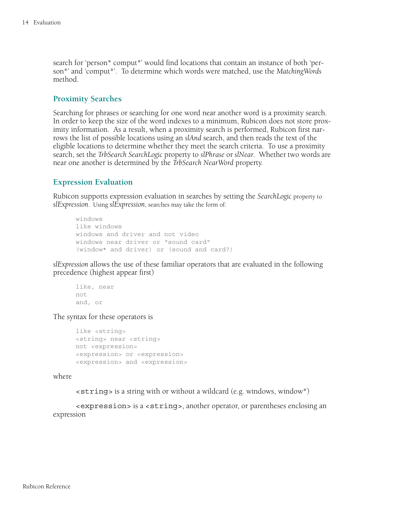search for 'person\* comput\*' would find locations that contain an instance of both 'person\*' and 'comput\*'. To determine which words were matched, use the *MatchingWords* method.

#### **Proximity Searches**

Searching for phrases or searching for one word near another word is a proximity search. In order to keep the size of the word indexes to a minimum, Rubicon does not store proximity information. As a result, when a proximity search is performed, Rubicon first narrows the list of possible locations using an *slAnd* search, and then reads the text of the eligible locations to determine whether they meet the search criteria. To use a proximity search, set the *TrbSearch SearchLogic* property to *slPhrase* or *slNear*. Whether two words are near one another is determined by the *TrbSearch NearWord* property.

### **Expression Evaluation**

Rubicon supports expression evaluation in searches by setting the *SearchLogic* property to *slExpression*. Using *slExpression*, searches may take the form of:

```
windows
like windows
windows and driver and not video
windows near driver or "sound card"
(window* and driver) or (sound and card?)
```
*slExpression* allows the use of these familiar operators that are evaluated in the following precedence (highest appear first)

```
like, near
not
and, or
```
The syntax for these operators is

```
like <string>
<string> near <string>
not <expression>
<expression> or <expression>
<expression> and <expression>
```
#### where

<string> is a string with or without a wildcard (e.g. windows, window\*)

```
<expression> is a <string>, another operator, or parentheses enclosing an 
expression
```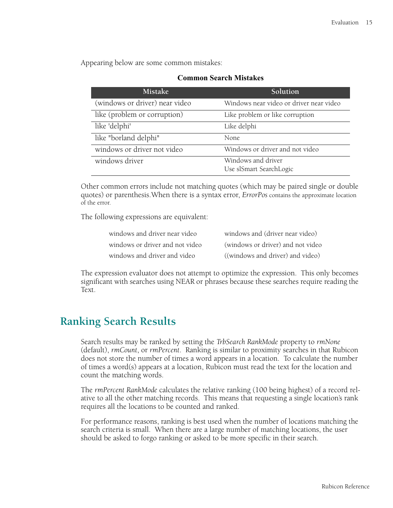Appearing below are some common mistakes:

| <b>Common Search Mistakes</b> |  |  |
|-------------------------------|--|--|
|-------------------------------|--|--|

| Mistake                        | Solution                                      |
|--------------------------------|-----------------------------------------------|
| (windows or driver) near video | Windows near video or driver near video       |
| like (problem or corruption)   | Like problem or like corruption               |
| like 'delphi'                  | Like delphi                                   |
| like "borland delphi"          | None.                                         |
| windows or driver not video    | Windows or driver and not video               |
| windows driver                 | Windows and driver<br>Use slSmart SearchLogic |

Other common errors include not matching quotes (which may be paired single or double quotes) or parenthesis.When there is a syntax error, *ErrorPos* contains the approximate location of the error.

The following expressions are equivalent:

| windows and driver near video   | windows and (driver near video)   |
|---------------------------------|-----------------------------------|
| windows or driver and not video | (windows or driver) and not video |
| windows and driver and video    | ((windows and driver) and video)  |

The expression evaluator does not attempt to optimize the expression. This only becomes significant with searches using NEAR or phrases because these searches require reading the Text.

# <span id="page-14-0"></span>**Ranking Search Results**

Search results may be ranked by setting the *TrbSearch RankMode* property to *rmNone* (default), *rmCount*, or *rmPercent*. Ranking is similar to proximity searches in that Rubicon does not store the number of times a word appears in a location. To calculate the number of times a word(s) appears at a location, Rubicon must read the text for the location and count the matching words.

The *rmPercent RankMode* calculates the relative ranking (100 being highest) of a record relative to all the other matching records. This means that requesting a single location's rank requires all the locations to be counted and ranked.

For performance reasons, ranking is best used when the number of locations matching the search criteria is small. When there are a large number of matching locations, the user should be asked to forgo ranking or asked to be more specific in their search.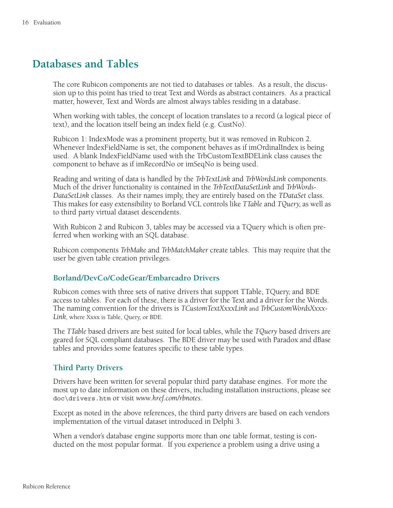# <span id="page-15-0"></span>**Databases and Tables**

The core Rubicon components are not tied to databases or tables. As a result, the discussion up to this point has tried to treat Text and Words as abstract containers. As a practical matter, however, Text and Words are almost always tables residing in a database.

When working with tables, the concept of location translates to a record (a logical piece of text), and the location itself being an index field (e.g. CustNo).

Rubicon 1: IndexMode was a prominent property, but it was removed in Rubicon 2. Whenever IndexFieldName is set, the component behaves as if imOrdinalIndex is being used. A blank IndexFieldName used with the TrbCustomTextBDELink class causes the component to behave as if imRecordNo or imSeqNo is being used.

Reading and writing of data is handled by the *TrbTextLink* and *TrbWordsLink* components. Much of the driver functionality is contained in the *TrbTextDataSetLink* and *TrbWords-DataSetLink* classes. As their names imply, they are entirely based on the *TDataSet* class. This makes for easy extensibility to Borland VCL controls like *TTable* and *TQuery*, as well as to third party virtual dataset descendents.

With Rubicon 2 and Rubicon 3, tables may be accessed via a TQuery which is often preferred when working with an SQL database.

Rubicon components *TrbMake* and *TrbMatchMaker* create tables. This may require that the user be given table creation privileges.

# **Borland/DevCo/CodeGear/Embarcadro Drivers**

Rubicon comes with three sets of native drivers that support TTable, TQuery, and BDE access to tables. For each of these, there is a driver for the Text and a driver for the Words. The naming convention for the drivers is *TCustomTextXxxxLink* and *TrbCustomWordsXxxx-Link*, where Xxxx is Table, Query, or BDE.

The *TTable* based drivers are best suited for local tables, while the *TQuery* based drivers are geared for SQL compliant databases. The BDE driver may be used with Paradox and dBase tables and provides some features specific to these table types.

### **Third Party Drivers**

Drivers have been written for several popular third party database engines. For more the most up to date information on these drivers, including installation instructions, please see doc\drivers.htm or visit *www.href.com/rbnotes*.

Except as noted in the above references, the third party drivers are based on each vendors implementation of the virtual dataset introduced in Delphi 3.

When a vendor's database engine supports more than one table format, testing is conducted on the most popular format. If you experience a problem using a drive using a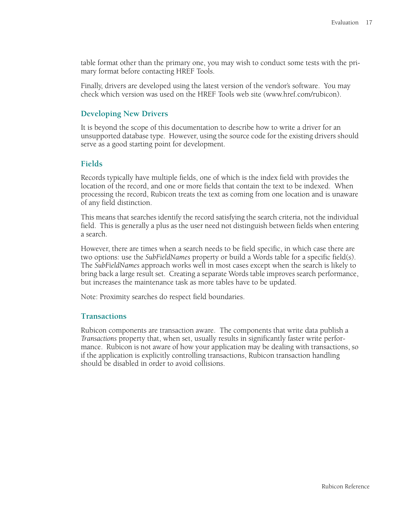table format other than the primary one, you may wish to conduct some tests with the primary format before contacting HREF Tools.

Finally, drivers are developed using the latest version of the vendor's software. You may check which version was used on the HREF Tools web site (www.href.com/rubicon).

### **Developing New Drivers**

It is beyond the scope of this documentation to describe how to write a driver for an unsupported database type. However, using the source code for the existing drivers should serve as a good starting point for development.

#### **Fields**

Records typically have multiple fields, one of which is the index field with provides the location of the record, and one or more fields that contain the text to be indexed. When processing the record, Rubicon treats the text as coming from one location and is unaware of any field distinction.

This means that searches identify the record satisfying the search criteria, not the individual field. This is generally a plus as the user need not distinguish between fields when entering a search.

However, there are times when a search needs to be field specific, in which case there are two options: use the *SubFieldNames* property or build a Words table for a specific field(s). The *SubFieldNames* approach works well in most cases except when the search is likely to bring back a large result set. Creating a separate Words table improves search performance, but increases the maintenance task as more tables have to be updated.

Note: Proximity searches do respect field boundaries.

#### **Transactions**

Rubicon components are transaction aware. The components that write data publish a *Transactions* property that, when set, usually results in significantly faster write performance. Rubicon is not aware of how your application may be dealing with transactions, so if the application is explicitly controlling transactions, Rubicon transaction handling should be disabled in order to avoid collisions.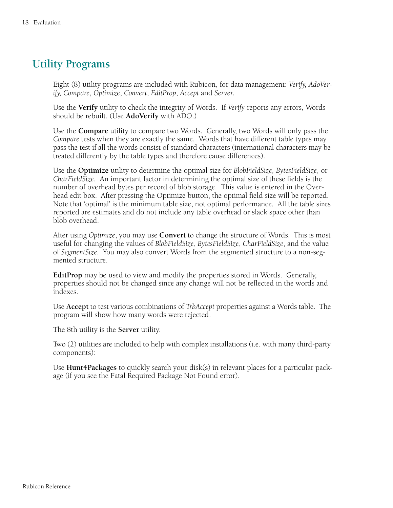# <span id="page-17-0"></span>**Utility Programs**

Eight (8) utility programs are included with Rubicon, for data management: *Verify, AdoVerify*, *Compare*, *Optimize*, *Convert*, *EditProp*, *Accept* and *Server*.

Use the **Verify** utility to check the integrity of Words. If *Verify* reports any errors, Words should be rebuilt. (Use **AdoVerify** with ADO.)

Use the **Compare** utility to compare two Words. Generally, two Words will only pass the *Compare* tests when they are exactly the same. Words that have different table types may pass the test if all the words consist of standard characters (international characters may be treated differently by the table types and therefore cause differences).

Use the **Optimize** utility to determine the optimal size for *BlobFieldSize, BytesFieldSize,* or *CharFieldSize*. An important factor in determining the optimal size of these fields is the number of overhead bytes per record of blob storage. This value is entered in the Overhead edit box. After pressing the Optimize button, the optimal field size will be reported. Note that 'optimal' is the minimum table size, not optimal performance. All the table sizes reported are estimates and do not include any table overhead or slack space other than blob overhead.

After using *Optimize*, you may use **Convert** to change the structure of Words. This is most useful for changing the values of *BlobFieldSize*, *BytesFieldSize*, *CharFieldSize*, and the value of *SegmentSize*. You may also convert Words from the segmented structure to a non-segmented structure.

**EditProp** may be used to view and modify the properties stored in Words. Generally, properties should not be changed since any change will not be reflected in the words and indexes.

Use **Accept** to test various combinations of *TrbAccept* properties against a Words table. The program will show how many words were rejected.

The 8th utility is the **Server** utility.

Two (2) utilities are included to help with complex installations (i.e. with many third-party components):

Use **Hunt4Packages** to quickly search your disk(s) in relevant places for a particular package (if you see the Fatal Required Package Not Found error).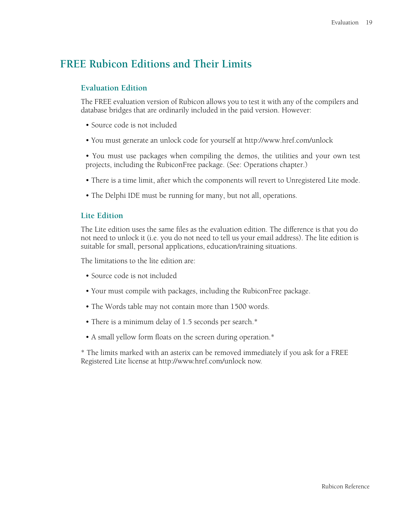# <span id="page-18-0"></span>**FREE Rubicon Editions and Their Limits**

# **Evaluation Edition**

The FREE evaluation version of Rubicon allows you to test it with any of the compilers and database bridges that are ordinarily included in the paid version. However:

- Source code is not included
- You must generate an unlock code for yourself at http://www.href.com/unlock

• You must use packages when compiling the demos, the utilities and your own test projects, including the RubiconFree package. (See: Operations chapter.)

- There is a time limit, after which the components will revert to Unregistered Lite mode.
- The Delphi IDE must be running for many, but not all, operations.

# **Lite Edition**

The Lite edition uses the same files as the evaluation edition. The difference is that you do not need to unlock it (i.e. you do not need to tell us your email address). The lite edition is suitable for small, personal applications, education/training situations.

The limitations to the lite edition are:

- Source code is not included
- Your must compile with packages, including the RubiconFree package.
- The Words table may not contain more than 1500 words.
- There is a minimum delay of 1.5 seconds per search.<sup>\*</sup>
- A small yellow form floats on the screen during operation.\*

\* The limits marked with an asterix can be removed immediately if you ask for a FREE Registered Lite license at http://www.href.com/unlock now.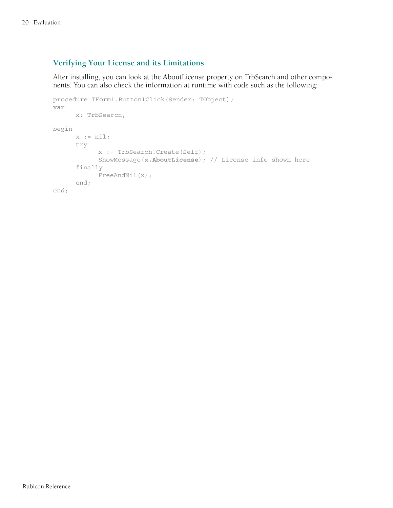### **Verifying Your License and its Limitations**

After installing, you can look at the AboutLicense property on TrbSearch and other components. You can also check the information at runtime with code such as the following:

```
procedure TForm1.Button1Click(Sender: TObject);
var
     x: TrbSearch;
begin
     x := \text{nil};try
           x := TrbSearch.Create(Self);
           ShowMessage(x.AboutLicense); // License info shown here
      finally
           FreeAndNil(x);
     end;
end;
```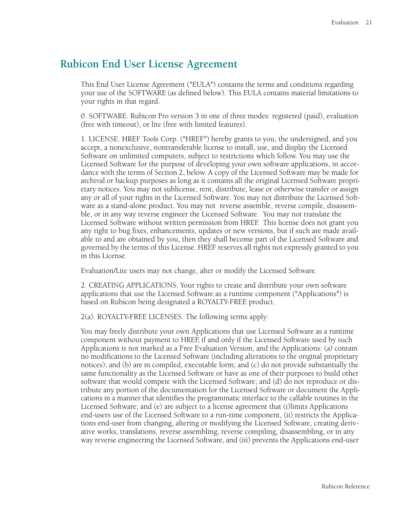# <span id="page-20-0"></span>**Rubicon End User License Agreement**

This End User License Agreement ("EULA") contains the terms and conditions regarding your use of the SOFTWARE (as defined below). This EULA contains material limitations to your rights in that regard.

0. SOFTWARE. Rubicon Pro version 3 in one of three modes: registered (paid), evaluation (free with timeout), or lite (free with limited features).

1. LICENSE. HREF Tools Corp. ("HREF") hereby grants to you, the undersigned, and you accept, a nonexclusive, nontransferable license to install, use, and display the Licensed Software on unlimited computers, subject to restrictions which follow. You may use the Licensed Software for the purpose of developing your own software applications, in accordance with the terms of Section 2, below. A copy of the Licensed Software may be made for archival or backup purposes as long as it contains all the original Licensed Software proprietary notices. You may not sublicense, rent, distribute, lease or otherwise transfer or assign any or all of your rights in the Licensed Software. You may not distribute the Licensed Software as a stand-alone product. You may not reverse assemble, reverse compile, disassemble, or in any way reverse engineer the Licensed Software. You may not translate the Licensed Software without written permission from HREF. This license does not grant you any right to bug fixes, enhancements, updates or new versions, but if such are made available to and are obtained by you, then they shall become part of the Licensed Software and governed by the terms of this License. HREF reserves all rights not expressly granted to you in this License.

Evaluation/Lite users may not change, alter or modify the Licensed Software.

2. CREATING APPLICATIONS. Your rights to create and distribute your own software applications that use the Licensed Software as a runtime component ("Applications") is based on Rubicon being designated a ROYALTY-FREE product.

2(a). ROYALTY-FREE LICENSES. The following terms apply:

You may freely distribute your own Applications that use Licensed Software as a runtime component without payment to HREF, if and only if the Licensed Software used by such Applications is not marked as a Free Evaluation Version, and the Applications: (a) contain no modifications to the Licensed Software (including alterations to the original proprietary notices); and (b) are in compiled, executable form; and (c) do not provide substantially the same functionality as the Licensed Software or have as one of their purposes to build other software that would compete with the Licensed Software; and (d) do not reproduce or distribute any portion of the documentation for the Licensed Software or document the Applications in a manner that identifies the programmatic interface to the callable routines in the Licensed Software; and (e) are subject to a license agreement that (i)limits Applications end-users use of the Licensed Software to a run-time component, (ii) restricts the Applications end-user from changing, altering or modifying the Licensed Software, creating derivative works, translations, reverse assembling, reverse compiling, disassembling, or in any way reverse engineering the Licensed Software, and (iii) prevents the Applications end-user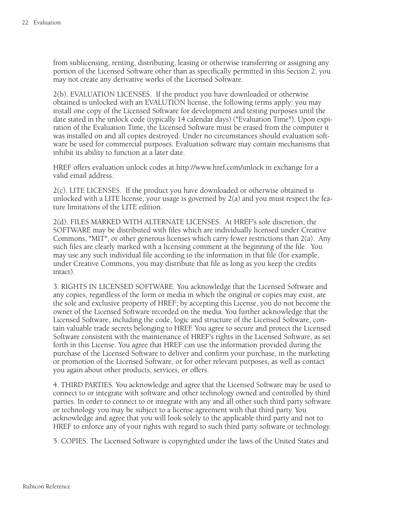from sublicensing, renting, distributing, leasing or otherwise transferring or assigning any portion of the Licensed Software other than as specifically permitted in this Section 2, you may not create any derivative works of the Licensed Software.

2(b). EVALUATION LICENSES. If the product you have downloaded or otherwise obtained is unlocked with an EVALUTION license, the following terms apply: you may install one copy of the Licensed Software for development and testing purposes until the date stated in the unlock code (typically 14 calendar days) ("Evaluation Time"). Upon expiration of the Evaluation Time, the Licensed Software must be erased from the computer it was installed on and all copies destroyed. Under no circumstances should evaluation software be used for commercial purposes. Evaluation software may contain mechanisms that inhibit its ability to function at a later date.

HREF offers evaluation unlock codes at http://www.href.com/unlock in exchange for a valid email address.

2(c). LITE LICENSES. If the product you have downloaded or otherwise obtained is unlocked with a LITE license, your usage is governed by 2(a) and you must respect the feature limitations of the LITE edition.

2(d). FILES MARKED WITH ALTERNATE LICENSES. At HREF's sole discretion, the SOFTWARE may be distributed with files which are individually licensed under Creative Commons, "MIT", or other generous licenses which carry fewer restrictions than 2(a). Any such files are clearly marked with a licensing comment at the beginning of the file. You may use any such individual file according to the information in that file (for example, under Creative Commons, you may distribute that file as long as you keep the credits intact).

3. RIGHTS IN LICENSED SOFTWARE. You acknowledge that the Licensed Software and any copies, regardless of the form or media in which the original or copies may exist, are the sole and exclusive property of HREF; by accepting this License, you do not become the owner of the Licensed Software recorded on the media. You further acknowledge that the Licensed Software, including the code, logic and structure of the Licensed Software, contain valuable trade secrets belonging to HREF. You agree to secure and protect the Licensed Software consistent with the maintenance of HREF's rights in the Licensed Software, as set forth in this License. You agree that HREF can use the information provided during the purchase of the Licensed Software to deliver and confirm your purchase, in the marketing or promotion of the Licensed Software, or for other relevant purposes, as well as contact you again about other products, services, or offers.

4. THIRD PARTIES. You acknowledge and agree that the Licensed Software may be used to connect to or integrate with software and other technology owned and controlled by third parties. In order to connect to or integrate with any and all other such third party software or technology you may be subject to a license agreement with that third party. You acknowledge and agree that you will look solely to the applicable third party and not to HREF to enforce any of your rights with regard to such third party software or technology.

5. COPIES. The Licensed Software is copyrighted under the laws of the United States and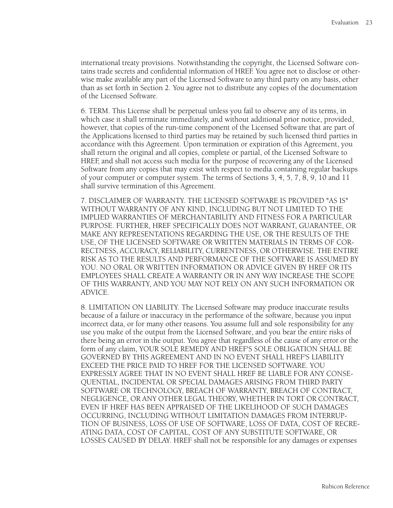international treaty provisions. Notwithstanding the copyright, the Licensed Software contains trade secrets and confidential information of HREF. You agree not to disclose or otherwise make available any part of the Licensed Software to any third party on any basis, other than as set forth in Section 2. You agree not to distribute any copies of the documentation of the Licensed Software.

6. TERM. This License shall be perpetual unless you fail to observe any of its terms, in which case it shall terminate immediately, and without additional prior notice, provided, however, that copies of the run-time component of the Licensed Software that are part of the Applications licensed to third parties may be retained by such licensed third parties in accordance with this Agreement. Upon termination or expiration of this Agreement, you shall return the original and all copies, complete or partial, of the Licensed Software to HREF, and shall not access such media for the purpose of recovering any of the Licensed Software from any copies that may exist with respect to media containing regular backups of your computer or computer system. The terms of Sections 3, 4, 5, 7, 8, 9, 10 and 11 shall survive termination of this Agreement.

7. DISCLAIMER OF WARRANTY. THE LICENSED SOFTWARE IS PROVIDED "AS IS" WITHOUT WARRANTY OF ANY KIND, INCLUDING BUT NOT LIMITED TO THE IMPLIED WARRANTIES OF MERCHANTABILITY AND FITNESS FOR A PARTICULAR PURPOSE. FURTHER, HREF SPECIFICALLY DOES NOT WARRANT, GUARANTEE, OR MAKE ANY REPRESENTATIONS REGARDING THE USE, OR THE RESULTS OF THE USE, OF THE LICENSED SOFTWARE OR WRITTEN MATERIALS IN TERMS OF COR-RECTNESS, ACCURACY, RELIABILITY, CURRENTNESS, OR OTHERWISE. THE ENTIRE RISK AS TO THE RESULTS AND PERFORMANCE OF THE SOFTWARE IS ASSUMED BY YOU. NO ORAL OR WRITTEN INFORMATION OR ADVICE GIVEN BY HREF OR ITS EMPLOYEES SHALL CREATE A WARRANTY OR IN ANY WAY INCREASE THE SCOPE OF THIS WARRANTY, AND YOU MAY NOT RELY ON ANY SUCH INFORMATION OR ADVICE.

8. LIMITATION ON LIABILITY. The Licensed Software may produce inaccurate results because of a failure or inaccuracy in the performance of the software, because you input incorrect data, or for many other reasons. You assume full and sole responsibility for any use you make of the output from the Licensed Software, and you bear the entire risks of there being an error in the output. You agree that regardless of the cause of any error or the form of any claim, YOUR SOLE REMEDY AND HREF'S SOLE OBLIGATION SHALL BE GOVERNED BY THIS AGREEMENT AND IN NO EVENT SHALL HREF'S LIABILITY EXCEED THE PRICE PAID TO HREF FOR THE LICENSED SOFTWARE. YOU EXPRESSLY AGREE THAT IN NO EVENT SHALL HREF BE LIABLE FOR ANY CONSE-QUENTIAL, INCIDENTAL OR SPECIAL DAMAGES ARISING FROM THIRD PARTY SOFTWARE OR TECHNOLOGY, BREACH OF WARRANTY, BREACH OF CONTRACT, NEGLIGENCE, OR ANY OTHER LEGAL THEORY, WHETHER IN TORT OR CONTRACT, EVEN IF HREF HAS BEEN APPRAISED OF THE LIKELIHOOD OF SUCH DAMAGES OCCURRING, INCLUDING WITHOUT LIMITATION DAMAGES FROM INTERRUP-TION OF BUSINESS, LOSS OF USE OF SOFTWARE, LOSS OF DATA, COST OF RECRE-ATING DATA, COST OF CAPITAL, COST OF ANY SUBSTITUTE SOFTWARE, OR LOSSES CAUSED BY DELAY. HREF shall not be responsible for any damages or expenses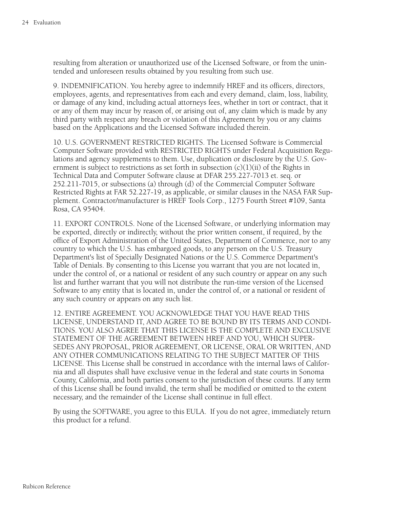resulting from alteration or unauthorized use of the Licensed Software, or from the unintended and unforeseen results obtained by you resulting from such use.

9. INDEMNIFICATION. You hereby agree to indemnify HREF and its officers, directors, employees, agents, and representatives from each and every demand, claim, loss, liability, or damage of any kind, including actual attorneys fees, whether in tort or contract, that it or any of them may incur by reason of, or arising out of, any claim which is made by any third party with respect any breach or violation of this Agreement by you or any claims based on the Applications and the Licensed Software included therein.

10. U.S. GOVERNMENT RESTRICTED RIGHTS. The Licensed Software is Commercial Computer Software provided with RESTRICTED RIGHTS under Federal Acquisition Regulations and agency supplements to them. Use, duplication or disclosure by the U.S. Government is subject to restrictions as set forth in subsection  $(c)(1)(ii)$  of the Rights in Technical Data and Computer Software clause at DFAR 255.227-7013 et. seq. or 252.211-7015, or subsections (a) through (d) of the Commercial Computer Software Restricted Rights at FAR 52.227-19, as applicable, or similar clauses in the NASA FAR Supplement. Contractor/manufacturer is HREF Tools Corp., 1275 Fourth Street #109, Santa Rosa, CA 95404.

11. EXPORT CONTROLS. None of the Licensed Software, or underlying information may be exported, directly or indirectly, without the prior written consent, if required, by the office of Export Administration of the United States, Department of Commerce, nor to any country to which the U.S. has embargoed goods, to any person on the U.S. Treasury Department's list of Specially Designated Nations or the U.S. Commerce Department's Table of Denials. By consenting to this License you warrant that you are not located in, under the control of, or a national or resident of any such country or appear on any such list and further warrant that you will not distribute the run-time version of the Licensed Software to any entity that is located in, under the control of, or a national or resident of any such country or appears on any such list.

12. ENTIRE AGREEMENT. YOU ACKNOWLEDGE THAT YOU HAVE READ THIS LICENSE, UNDERSTAND IT, AND AGREE TO BE BOUND BY ITS TERMS AND CONDI-TIONS. YOU ALSO AGREE THAT THIS LICENSE IS THE COMPLETE AND EXCLUSIVE STATEMENT OF THE AGREEMENT BETWEEN HREF AND YOU, WHICH SUPER-SEDES ANY PROPOSAL, PRIOR AGREEMENT, OR LICENSE, ORAL OR WRITTEN, AND ANY OTHER COMMUNICATIONS RELATING TO THE SUBJECT MATTER OF THIS LICENSE. This License shall be construed in accordance with the internal laws of California and all disputes shall have exclusive venue in the federal and state courts in Sonoma County, California, and both parties consent to the jurisdiction of these courts. If any term of this License shall be found invalid, the term shall be modified or omitted to the extent necessary, and the remainder of the License shall continue in full effect.

By using the SOFTWARE, you agree to this EULA. If you do not agree, immediately return this product for a refund.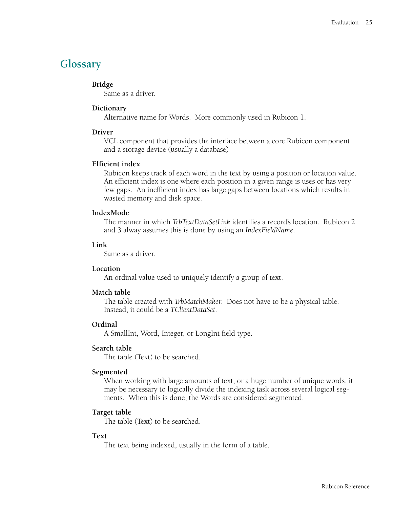# <span id="page-24-0"></span>**Glossary**

#### **Bridge**

Same as a driver.

#### **Dictionary**

Alternative name for Words. More commonly used in Rubicon 1.

#### **Driver**

VCL component that provides the interface between a core Rubicon component and a storage device (usually a database)

#### **Efficient index**

Rubicon keeps track of each word in the text by using a position or location value. An efficient index is one where each position in a given range is uses or has very few gaps. An inefficient index has large gaps between locations which results in wasted memory and disk space.

#### **IndexMode**

The manner in which *TrbTextDataSetLink* identifies a record's location. Rubicon 2 and 3 alway assumes this is done by using an *IndexFieldName*.

#### **Link**

Same as a driver.

#### **Location**

An ordinal value used to uniquely identify a group of text.

#### **Match table**

The table created with *TrbMatchMaker*. Does not have to be a physical table. Instead, it could be a *TClientDataSet*.

#### **Ordinal**

A SmallInt, Word, Integer, or LongInt field type.

#### **Search table**

The table (Text) to be searched.

#### **Segmented**

When working with large amounts of text, or a huge number of unique words, it may be necessary to logically divide the indexing task across several logical segments. When this is done, the Words are considered segmented.

#### **Target table**

The table (Text) to be searched.

#### **Text**

The text being indexed, usually in the form of a table.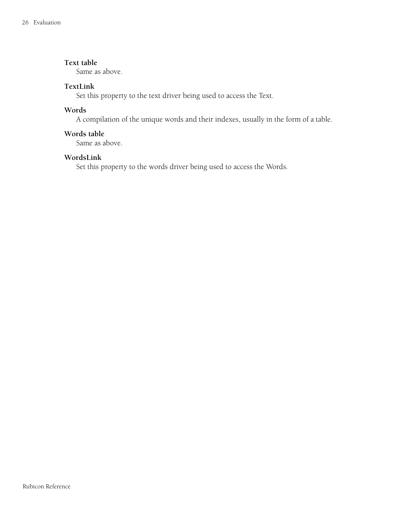### **Text table**

Same as above.

### **TextLink**

Set this property to the text driver being used to access the Text.

#### **Words**

A compilation of the unique words and their indexes, usually in the form of a table.

### **Words table**

Same as above.

### **WordsLink**

Set this property to the words driver being used to access the Words.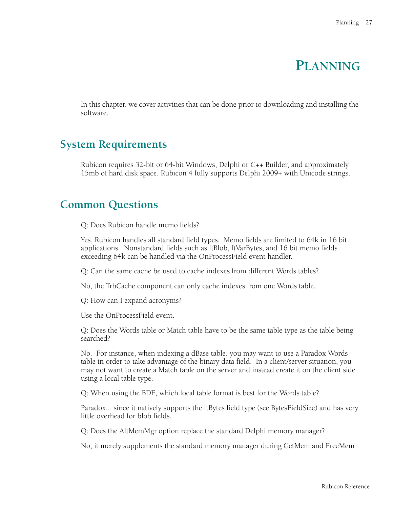# **PLANNING**

<span id="page-26-0"></span>In this chapter, we cover activities that can be done prior to downloading and installing the software.

# <span id="page-26-1"></span>**System Requirements**

Rubicon requires 32-bit or 64-bit Windows, Delphi or C++ Builder, and approximately 15mb of hard disk space. Rubicon 4 fully supports Delphi 2009+ with Unicode strings.

# <span id="page-26-2"></span>**Common Questions**

Q: Does Rubicon handle memo fields?

Yes, Rubicon handles all standard field types. Memo fields are limited to 64k in 16 bit applications. Nonstandard fields such as ftBlob, ftVarBytes, and 16 bit memo fields exceeding 64k can be handled via the OnProcessField event handler.

Q: Can the same cache be used to cache indexes from different Words tables?

No, the TrbCache component can only cache indexes from one Words table.

Q: How can I expand acronyms?

Use the OnProcessField event.

Q: Does the Words table or Match table have to be the same table type as the table being searched?

No. For instance, when indexing a dBase table, you may want to use a Paradox Words table in order to take advantage of the binary data field. In a client/server situation, you may not want to create a Match table on the server and instead create it on the client side using a local table type.

Q: When using the BDE, which local table format is best for the Words table?

Paradox... since it natively supports the ftBytes field type (see BytesFieldSize) and has very little overhead for blob fields.

Q: Does the AltMemMgr option replace the standard Delphi memory manager?

No, it merely supplements the standard memory manager during GetMem and FreeMem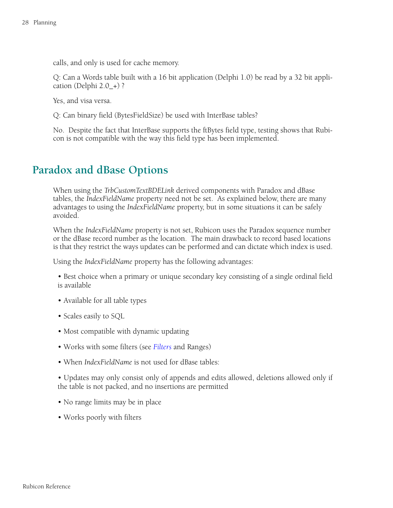calls, and only is used for cache memory.

Q: Can a Words table built with a 16 bit application (Delphi 1.0) be read by a 32 bit application (Delphi 2.0\_+) ?

Yes, and visa versa.

Q: Can binary field (BytesFieldSize) be used with InterBase tables?

No. Despite the fact that InterBase supports the ftBytes field type, testing shows that Rubicon is not compatible with the way this field type has been implemented.

# <span id="page-27-0"></span>**Paradox and dBase Options**

When using the *TrbCustomTextBDELink* derived components with Paradox and dBase tables, the *IndexFieldName* property need not be set. As explained below, there are many advantages to using the *IndexFieldName* property, but in some situations it can be safely avoided.

When the *IndexFieldName* property is not set, Rubicon uses the Paradox sequence number or the dBase record number as the location. The main drawback to record based locations is that they restrict the ways updates can be performed and can dictate which index is used.

Using the *IndexFieldName* property has the following advantages:

- Best choice when a primary or unique secondary key consisting of a single ordinal field is available
- Available for all table types
- Scales easily to SQL
- Most compatible with dynamic updating
- Works with some filters (see *Filters* and Ranges)
- When *IndexFieldName* is not used for dBase tables:

• Updates may only consist only of appends and edits allowed, deletions allowed only if the table is not packed, and no insertions are permitted

- No range limits may be in place
- Works poorly with filters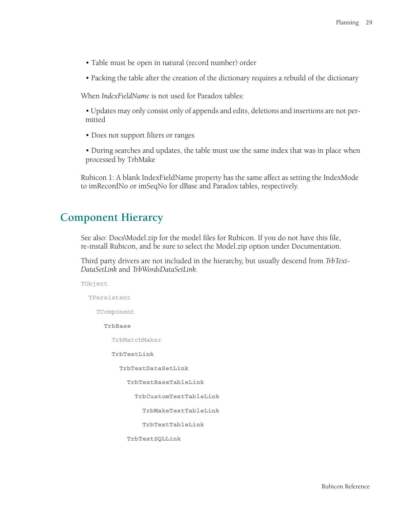- Table must be open in natural (record number) order
- Packing the table after the creation of the dictionary requires a rebuild of the dictionary

When *IndexFieldName* is not used for Paradox tables:

• Updates may only consist only of appends and edits, deletions and insertions are not permitted

• Does not support filters or ranges

• During searches and updates, the table must use the same index that was in place when processed by TrbMake

Rubicon 1: A blank IndexFieldName property has the same affect as setting the IndexMode to imRecordNo or imSeqNo for dBase and Paradox tables, respectively.

# <span id="page-28-0"></span>**Component Hierarcy**

See also: Docs\Model.zip for the model files for Rubicon. If you do not have this file, re-install Rubicon, and be sure to select the Model.zip option under Documentation.

Third party drivers are not included in the hierarchy, but usually descend from *TrbText-DataSetLink* and *TrbWordsDataSetLink*.

TObject TPersistent TComponent **TrbBase** TrbMatchMaker **TrbTextLink TrbTextDataSetLink TrbTextBaseTableLink TrbCustomTextTableLink TrbMakeTextTableLink TrbTextTableLink TrbTextSQLLink**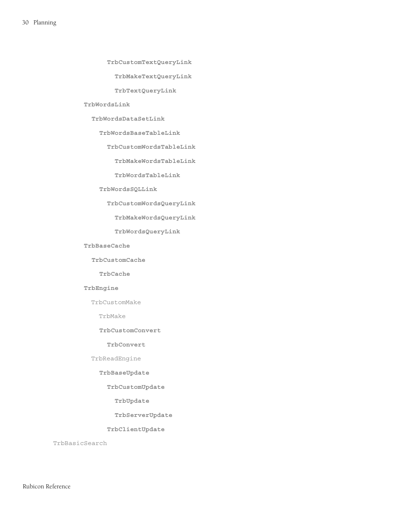**TrbCustomTextQueryLink**

**TrbMakeTextQueryLink**

**TrbTextQueryLink** 

**TrbWordsLink**

**TrbWordsDataSetLink**

**TrbWordsBaseTableLink**

**TrbCustomWordsTableLink**

**TrbMakeWordsTableLink**

**TrbWordsTableLink**

**TrbWordsSQLLink**

**TrbCustomWordsQueryLink**

**TrbMakeWordsQueryLink**

**TrbWordsQueryLink** 

#### **TrbBaseCache**

**TrbCustomCache**

**TrbCache** 

#### **TrbEngine**

TrbCustomMake

TrbMake

**TrbCustomConvert**

#### **TrbConvert**

TrbReadEngine

#### **TrbBaseUpdate**

**TrbCustomUpdate**

#### **TrbUpdate**

**TrbServerUpdate**

#### **TrbClientUpdate**

TrbBasicSearch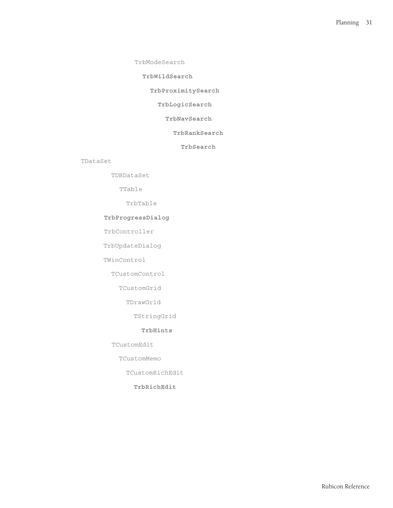TrbModeSearch

#### **TrbWildSearch**

#### **TrbProximitySearch**

#### **TrbLogicSearch**

#### **TrbNavSearch**

#### **TrbRankSearch**

**TrbSearch** 

TDataSet

TDBDataSet

TTable

TrbTable

#### **TrbProgressDialog**

TrbController

TrbUpdateDialog

TWinControl

TCustomControl

TCustomGrid

TDrawGrid

TStringGrid

#### **TrbHints**

TCustomEdit

TCustomMemo

TCustomRichEdit

#### **TrbRichEdit**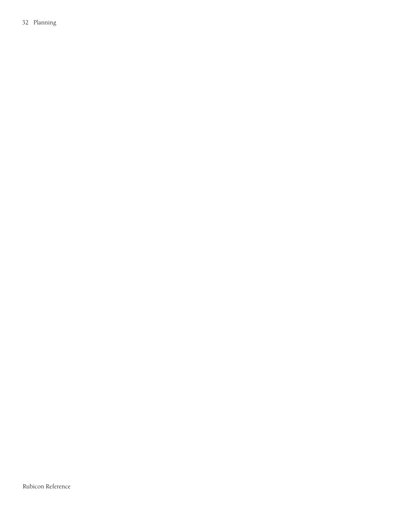32 Planning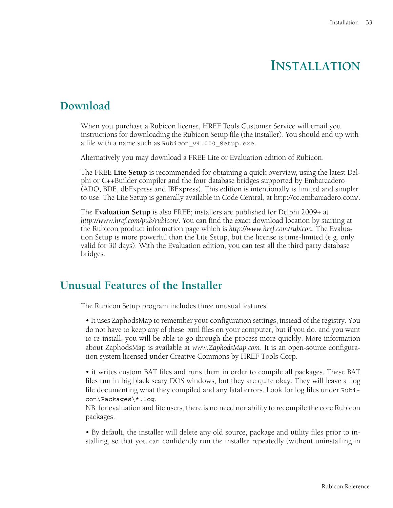# **INSTALLATION**

# <span id="page-32-1"></span><span id="page-32-0"></span>**Download**

When you purchase a Rubicon license, HREF Tools Customer Service will email you instructions for downloading the Rubicon Setup file (the installer). You should end up with a file with a name such as Rubicon v4.000 Setup.exe.

Alternatively you may download a FREE Lite or Evaluation edition of Rubicon.

The FREE **Lite Setup** is recommended for obtaining a quick overview, using the latest Delphi or C++Builder compiler and the four database bridges supported by Embarcadero (ADO, BDE, dbExpress and IBExpress). This edition is intentionally is limited and simpler to use. The Lite Setup is generally available in Code Central, at http://cc.embarcadero.com/.

The **Evaluation Setup** is also FREE; installers are published for Delphi 2009+ at *http://www.href.com/pub/rubicon/*. You can find the exact download location by starting at the Rubicon product information page which is *http://www.href.com/rubicon*. The Evaluation Setup is more powerful than the Lite Setup, but the license is time-limited (e.g. only valid for 30 days). With the Evaluation edition, you can test all the third party database bridges.

# <span id="page-32-2"></span>**Unusual Features of the Installer**

The Rubicon Setup program includes three unusual features:

• It uses ZaphodsMap to remember your configuration settings, instead of the registry. You do not have to keep any of these .xml files on your computer, but if you do, and you want to re-install, you will be able to go through the process more quickly. More information about ZaphodsMap is available at *www.ZaphodsMap.com*. It is an open-source configuration system licensed under Creative Commons by HREF Tools Corp.

• it writes custom BAT files and runs them in order to compile all packages. These BAT files run in big black scary DOS windows, but they are quite okay. They will leave a .log file documenting what they compiled and any fatal errors. Look for log files under Rubicon\Packages\\*.log.

NB: for evaluation and lite users, there is no need nor ability to recompile the core Rubicon packages.

• By default, the installer will delete any old source, package and utility files prior to installing, so that you can confidently run the installer repeatedly (without uninstalling in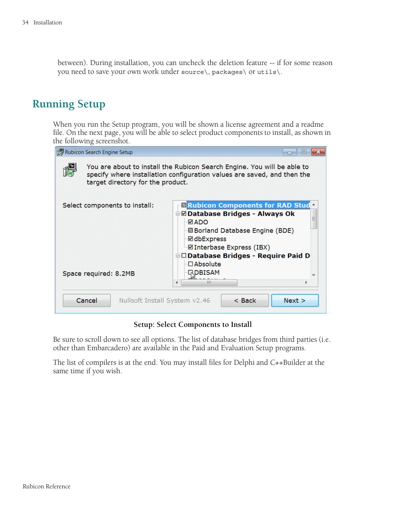between). During installation, you can uncheck the deletion feature -- if for some reason you need to save your own work under source\, packages\ or utils\.

# <span id="page-33-0"></span>**Running Setup**

When you run the Setup program, you will be shown a license agreement and a readme file. On the next page, you will be able to select product components to install, as shown in the following screenshot.



#### **Setup: Select Components to Install**

Be sure to scroll down to see all options. The list of database bridges from third parties (i.e. other than Embarcadero) are available in the Paid and Evaluation Setup programs.

The list of compilers is at the end. You may install files for Delphi and C++Builder at the same time if you wish.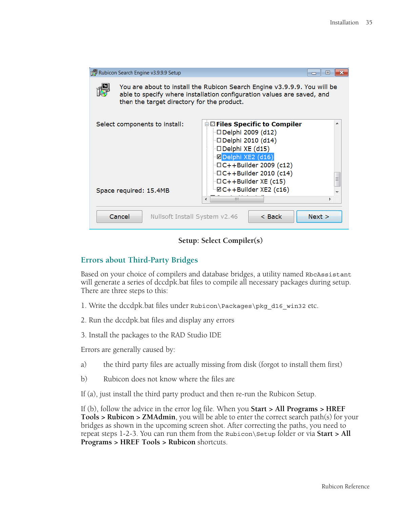

### **Setup: Select Compiler(s)**

# **Errors about Third-Party Bridges**

Based on your choice of compilers and database bridges, a utility named RbcAssistant will generate a series of dccdpk.bat files to compile all necessary packages during setup. There are three steps to this:

- 1. Write the dccdpk.bat files under Rubicon\Packages\pkg\_d16\_win32 etc.
- 2. Run the dccdpk.bat files and display any errors
- 3. Install the packages to the RAD Studio IDE

Errors are generally caused by:

- a) the third party files are actually missing from disk (forgot to install them first)
- b) Rubicon does not know where the files are

If (a), just install the third party product and then re-run the Rubicon Setup.

If (b), follow the advice in the error log file. When you **Start > All Programs > HREF Tools > Rubicon > ZMAdmin**, you will be able to enter the correct search path(s) for your bridges as shown in the upcoming screen shot. After correcting the paths, you need to repeat steps 1-2-3. You can run them from the Rubicon\Setup folder or via **Start > All Programs > HREF Tools > Rubicon** shortcuts.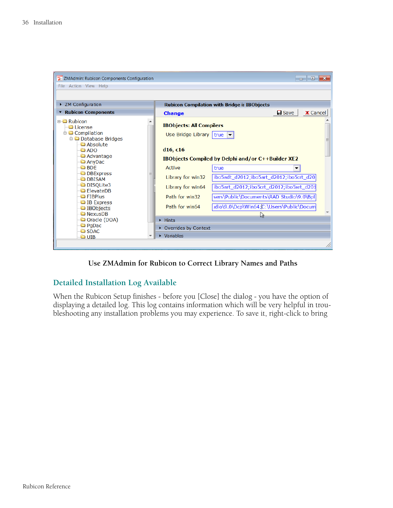| <b>24 ZMAdmin: Rubicon Components Configuration</b><br>File Action View Help                                                                    |                                                                                                                 | $\Box$ $\mathbf{x}$<br><b>- 1</b>                                                                                                                                           |
|-------------------------------------------------------------------------------------------------------------------------------------------------|-----------------------------------------------------------------------------------------------------------------|-----------------------------------------------------------------------------------------------------------------------------------------------------------------------------|
| > ZM Configuration<br>▼ Rubicon Components<br>□ <b>D</b> Rubicon<br><b>D</b> License                                                            | <b>Change</b><br><b>IBObjects: All Compilers</b>                                                                | <b>Rubicon Compilation with Bridge i: IBObjects</b><br><b>X</b> Cancel<br>$\blacksquare$ Save                                                                               |
| <b>E-C</b> Compilation<br><b>Database Bridges</b><br><b>Absolute</b><br>a ADO<br>Advantage<br><b>AnyDac</b><br><b>D</b> BDE<br><b>DBExpress</b> | Use Bridge Library<br>d16, c16<br>Active                                                                        | true<br>Ξ<br><b>IBObjects Compiled by Delphi and/or C++Builder XE2</b><br>true<br>▼                                                                                         |
| <b>DBISAM</b><br>ignal DISQLite3<br><b>ElevateDB</b><br><b>D</b> FIBPlus<br><b>D</b> IB Express<br><b>D</b> IBObjects                           | Library for win32<br>Library for win64<br>Path for win32<br>Path for win64                                      | ibo5adt_d2012;ibo5art_d2012;ibo5crt_d20<br>ibo5art d2012;ibo5crt d2012;ibo5xrt d201<br>sers\Public\Documents\RAD Studio\9.0\Bpl<br>idio\9.0\Dcp\Win64;C:\Users\Public\Docum |
| <b>D</b> NexusDB<br>Oracle (DOA)<br><b>D</b> PaDac<br><b>C</b> SDAC<br>o vib                                                                    | $\blacktriangleright$ Hints<br>▶ Overrides by Context<br>$\triangleright$ Variables<br>$\overline{\phantom{0}}$ |                                                                                                                                                                             |
|                                                                                                                                                 |                                                                                                                 |                                                                                                                                                                             |

### **Use ZMAdmin for Rubicon to Correct Library Names and Paths**

# **Detailed Installation Log Available**

When the Rubicon Setup finishes - before you [Close] the dialog - you have the option of displaying a detailed log. This log contains information which will be very helpful in troubleshooting any installation problems you may experience. To save it, right-click to bring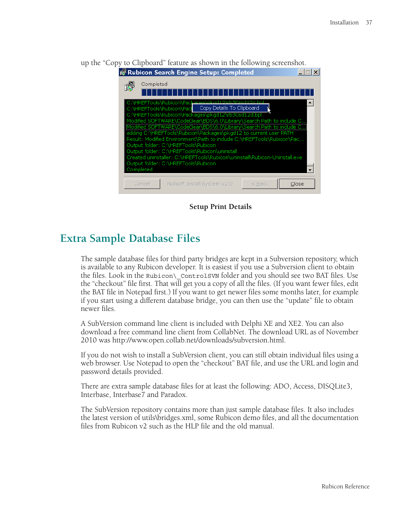

up the "Copy to Clipboard" feature as shown in the following screenshot.

**Setup Print Details**

## **Extra Sample Database Files**

The sample database files for third party bridges are kept in a Subversion repository, which is available to any Rubicon developer. It is easiest if you use a Subversion client to obtain the files. Look in the Rubicon\\_ControlSVN folder and you should see two BAT files. Use the "checkout" file first. That will get you a copy of all the files. (If you want fewer files, edit the BAT file in Notepad first.) If you want to get newer files some months later, for example if you start using a different database bridge, you can then use the "update" file to obtain newer files.

A SubVersion command line client is included with Delphi XE and XE2. You can also download a free command line client from CollabNet. The download URL as of November 2010 was http://www.open.collab.net/downloads/subversion.html.

If you do not wish to install a SubVersion client, you can still obtain individual files using a web browser. Use Notepad to open the "checkout" BAT file, and use the URL and login and password details provided.

There are extra sample database files for at least the following: ADO, Access, DISQLite3, Interbase, Interbase7 and Paradox.

The SubVersion repository contains more than just sample database files. It also includes the latest version of utils\bridges.xml, some Rubicon demo files, and all the documentation files from Rubicon v2 such as the HLP file and the old manual.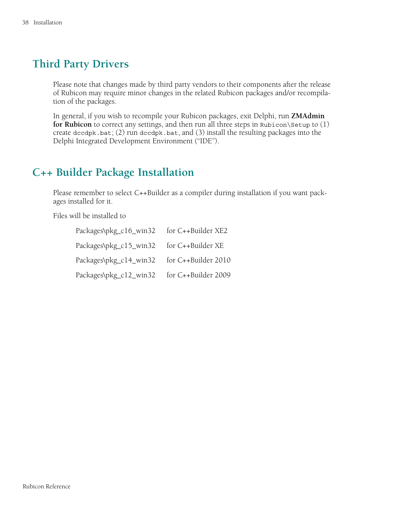## **Third Party Drivers**

Please note that changes made by third party vendors to their components after the release of Rubicon may require minor changes in the related Rubicon packages and/or recompilation of the packages.

In general, if you wish to recompile your Rubicon packages, exit Delphi, run **ZMAdmin for Rubicon** to correct any settings, and then run all three steps in Rubicon\Setup to  $(1)$ create dccdpk.bat; (2) run dccdpk.bat, and (3) install the resulting packages into the Delphi Integrated Development Environment ("IDE").

## **C++ Builder Package Installation**

Please remember to select C++Builder as a compiler during installation if you want packages installed for it.

Files will be installed to

| Packages\pkg_c16_win32 for C++Builder XE2  |  |
|--------------------------------------------|--|
| Packages\pkg_c15_win32 for C++Builder XE   |  |
| Packages\pkg_c14_win32 for C++Builder 2010 |  |
| Packages\pkg_c12_win32 for C++Builder 2009 |  |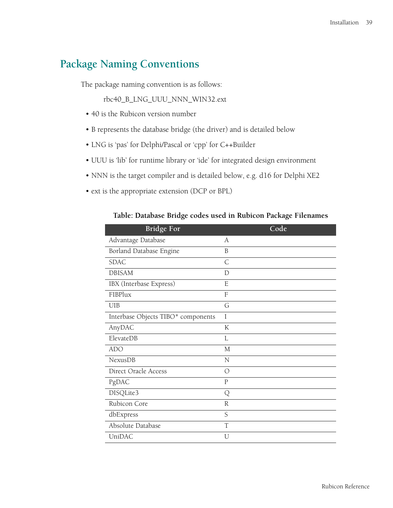## **Package Naming Conventions**

The package naming convention is as follows:

rbc40\_B\_LNG\_UUU\_NNN\_WIN32.ext

- 40 is the Rubicon version number
- B represents the database bridge (the driver) and is detailed below
- LNG is 'pas' for Delphi/Pascal or 'cpp' for C++Builder
- UUU is 'lib' for runtime library or 'ide' for integrated design environment
- NNN is the target compiler and is detailed below, e.g. d16 for Delphi XE2
- ext is the appropriate extension (DCP or BPL)

| <b>Bridge For</b>                  | Code           |
|------------------------------------|----------------|
| Advantage Database                 | A              |
| Borland Database Engine            | B              |
| <b>SDAC</b>                        | $\overline{C}$ |
| <b>DBISAM</b>                      | D              |
| IBX (Interbase Express)            | E              |
| FIBPlux                            | F              |
| <b>UIB</b>                         | G              |
| Interbase Objects TIBO* components | I              |
| AnyDAC                             | K              |
| ElevateDB                          | L              |
| <b>ADO</b>                         | M              |
| NexusDB                            | N              |
| Direct Oracle Access               | $\bigcirc$     |
| PgDAC                              | $\overline{P}$ |
| DISQLite3                          | Q              |
| Rubicon Core                       | $\mathbb R$    |
| dbExpress                          | S              |
| Absolute Database                  | $\top$         |
| UniDAC                             | U              |

#### **Table: Database Bridge codes used in Rubicon Package Filenames**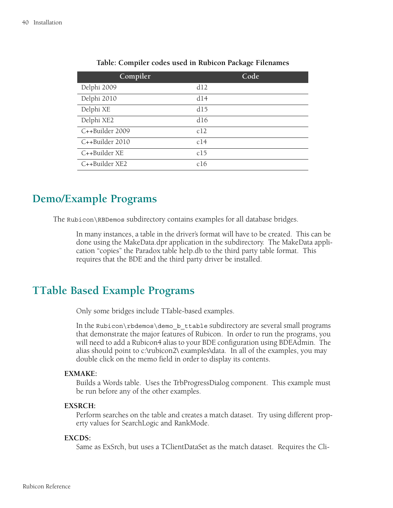| Compiler        | Code |
|-----------------|------|
| Delphi 2009     | d12  |
| Delphi 2010     | d14  |
| Delphi XE       | d15  |
| Delphi XE2      | d16  |
| C++Builder 2009 | c12  |
| C++Builder 2010 | c14  |
| C++Builder XE   | c15  |
| C++Builder XE2  | c16  |

**Table: Compiler codes used in Rubicon Package Filenames**

## **Demo/Example Programs**

The Rubicon\RBDemos subdirectory contains examples for all database bridges.

In many instances, a table in the driver's format will have to be created. This can be done using the MakeData.dpr application in the subdirectory. The MakeData application "copies" the Paradox table help.db to the third party table format. This requires that the BDE and the third party driver be installed.

## **TTable Based Example Programs**

Only some bridges include TTable-based examples.

In the Rubicon\rbdemos\demo\_b\_ttable subdirectory are several small programs that demonstrate the major features of Rubicon. In order to run the programs, you will need to add a Rubicon4 alias to your BDE configuration using BDEAdmin. The alias should point to c:\rubicon2\ examples\data. In all of the examples, you may double click on the memo field in order to display its contents.

#### **EXMAKE:**

Builds a Words table. Uses the TrbProgressDialog component. This example must be run before any of the other examples.

### **EXSRCH:**

Perform searches on the table and creates a match dataset. Try using different property values for SearchLogic and RankMode.

#### **EXCDS:**

Same as ExSrch, but uses a TClientDataSet as the match dataset. Requires the Cli-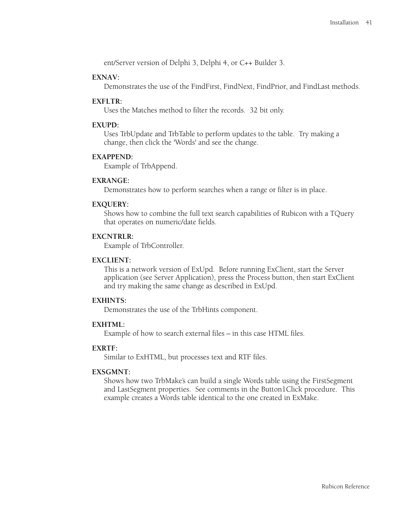ent/Server version of Delphi 3, Delphi 4, or C++ Builder 3.

#### **EXNAV:**

Demonstrates the use of the FindFirst, FindNext, FindPrior, and FindLast methods.

#### **EXFLTR:**

Uses the Matches method to filter the records. 32 bit only.

#### **EXUPD:**

Uses TrbUpdate and TrbTable to perform updates to the table. Try making a change, then click the 'Words' and see the change.

#### **EXAPPEND:**

Example of TrbAppend.

#### **EXRANGE:**

Demonstrates how to perform searches when a range or filter is in place.

#### **EXQUERY:**

Shows how to combine the full text search capabilities of Rubicon with a TQuery that operates on numeric/date fields.

#### **EXCNTRLR:**

Example of TrbController.

#### **EXCLIENT:**

This is a network version of ExUpd. Before running ExClient, start the Server application (see Server Application), press the Process button, then start ExClient and try making the same change as described in ExUpd.

#### **EXHINTS:**

Demonstrates the use of the TrbHints component.

#### **EXHTML:**

Example of how to search external files – in this case HTML files.

#### **EXRTF:**

Similar to ExHTML, but processes text and RTF files.

#### **EXSGMNT:**

Shows how two TrbMake's can build a single Words table using the FirstSegment and LastSegment properties. See comments in the Button1Click procedure. This example creates a Words table identical to the one created in ExMake.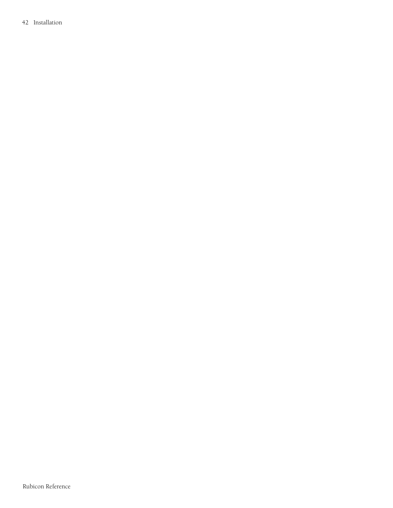42 Installation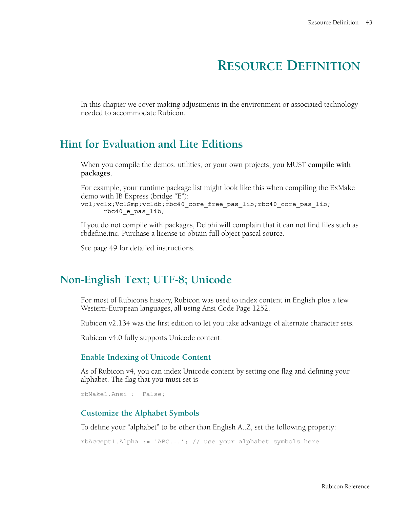# **RESOURCE DEFINITION**

In this chapter we cover making adjustments in the environment or associated technology needed to accommodate Rubicon.

## **Hint for Evaluation and Lite Editions**

When you compile the demos, utilities, or your own projects, you MUST **compile with packages**.

For example, your runtime package list might look like this when compiling the ExMake demo with IB Express (bridge "E"):

```
vcl;vclx;VclSmp;vcldb;rbc40 core free pas lib;rbc40 core pas lib;
      rbc40_e_pas_lib;
```
If you do not compile with packages, Delphi will complain that it can not find files such as rbdefine.inc. Purchase a license to obtain full object pascal source.

See [page 49](#page-48-0) for detailed instructions.

## **Non-English Text; UTF-8; Unicode**

For most of Rubicon's history, Rubicon was used to index content in English plus a few Western-European languages, all using Ansi Code Page 1252.

Rubicon v2.134 was the first edition to let you take advantage of alternate character sets.

Rubicon v4.0 fully supports Unicode content.

### **Enable Indexing of Unicode Content**

As of Rubicon v4, you can index Unicode content by setting one flag and defining your alphabet. The flag that you must set is

rbMake1.Ansi := False;

### **Customize the Alphabet Symbols**

To define your "alphabet" to be other than English A..Z, set the following property:

 $rbAccept1.Alpha := 'ABC...'; // use your alphabet symbols here$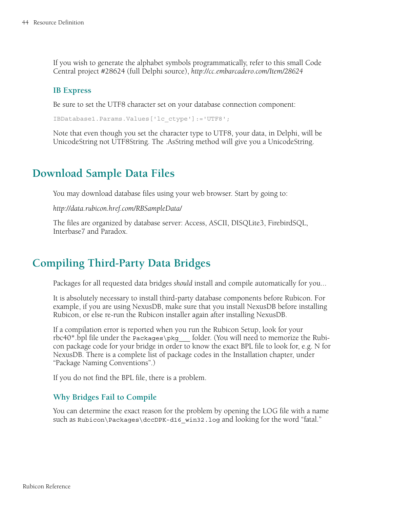If you wish to generate the alphabet symbols programmatically, refer to this small Code Central project #28624 (full Delphi source), *http://cc.embarcadero.com/Item/28624*

#### **IB Express**

Be sure to set the UTF8 character set on your database connection component:

IBDatabase1.Params.Values['lc\_ctype']:='UTF8';

Note that even though you set the character type to UTF8, your data, in Delphi, will be UnicodeString not UTF8String. The .AsString method will give you a UnicodeString.

## **Download Sample Data Files**

You may download database files using your web browser. Start by going to:

*http://data.rubicon.href.com/RBSampleData/*

The files are organized by database server: Access, ASCII, DISQLite3, FirebirdSQL, Interbase7 and Paradox.

## **Compiling Third-Party Data Bridges**

Packages for all requested data bridges *should* install and compile automatically for you...

It is absolutely necessary to install third-party database components before Rubicon. For example, if you are using NexusDB, make sure that you install NexusDB before installing Rubicon, or else re-run the Rubicon installer again after installing NexusDB.

If a compilation error is reported when you run the Rubicon Setup, look for your rbc40\*.bpl file under the Packages\pkg\_\_\_ folder. (You will need to memorize the Rubicon package code for your bridge in order to know the exact BPL file to look for, e.g. N for NexusDB. There is a complete list of package codes in the Installation chapter, under "Package Naming Conventions".)

If you do not find the BPL file, there is a problem.

### **Why Bridges Fail to Compile**

You can determine the exact reason for the problem by opening the LOG file with a name such as Rubicon\Packages\dccDPK-d16\_win32.log and looking for the word "fatal."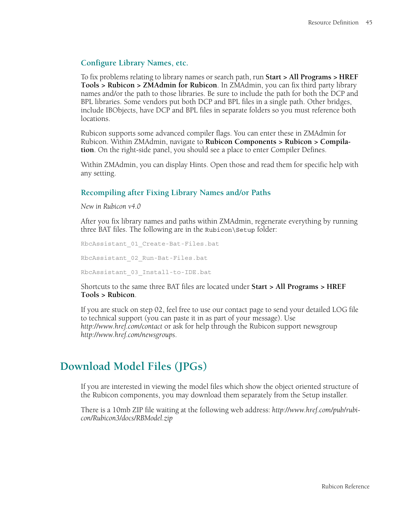#### **Configure Library Names, etc.**

To fix problems relating to library names or search path, run **Start > All Programs > HREF Tools > Rubicon > ZMAdmin for Rubicon**. In ZMAdmin, you can fix third party library names and/or the path to those libraries. Be sure to include the path for both the DCP and BPL libraries. Some vendors put both DCP and BPL files in a single path. Other bridges, include IBObjects, have DCP and BPL files in separate folders so you must reference both locations.

Rubicon supports some advanced compiler flags. You can enter these in ZMAdmin for Rubicon. Within ZMAdmin, navigate to **Rubicon Components > Rubicon > Compilation**. On the right-side panel, you should see a place to enter Compiler Defines.

Within ZMAdmin, you can display Hints. Open those and read them for specific help with any setting.

#### **Recompiling after Fixing Library Names and/or Paths**

*New in Rubicon v4.0*

After you fix library names and paths within ZMAdmin, regenerate everything by running three BAT files. The following are in the Rubicon\Setup folder:

RbcAssistant\_01\_Create-Bat-Files.bat

RbcAssistant\_02\_Run-Bat-Files.bat

RbcAssistant\_03\_Install-to-IDE.bat

Shortcuts to the same three BAT files are located under **Start > All Programs > HREF Tools > Rubicon**.

If you are stuck on step 02, feel free to use our contact page to send your detailed LOG file to technical support (you can paste it in as part of your message). Use *http://www.href.com/contact* or ask for help through the Rubicon support newsgroup *http://www.href.com/newsgroups*.

## **Download Model Files (JPGs)**

If you are interested in viewing the model files which show the object oriented structure of the Rubicon components, you may download them separately from the Setup installer.

There is a 10mb ZIP file waiting at the following web address: *http://www.href.com/pub/rubicon/Rubicon3/docs/RBModel.zip*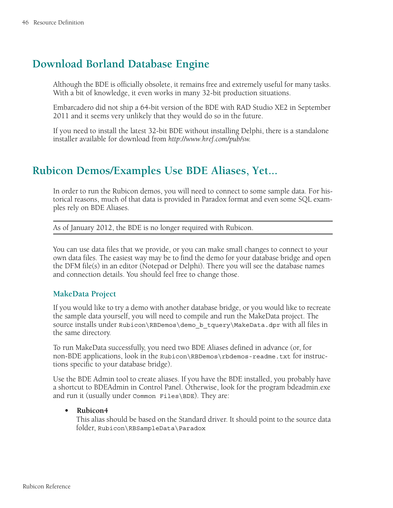## **Download Borland Database Engine**

Although the BDE is officially obsolete, it remains free and extremely useful for many tasks. With a bit of knowledge, it even works in many 32-bit production situations.

Embarcadero did not ship a 64-bit version of the BDE with RAD Studio XE2 in September 2011 and it seems very unlikely that they would do so in the future.

If you need to install the latest 32-bit BDE without installing Delphi, there is a standalone installer available for download from *http://www.href.com/pub/sw*.

## **Rubicon Demos/Examples Use BDE Aliases, Yet...**

In order to run the Rubicon demos, you will need to connect to some sample data. For historical reasons, much of that data is provided in Paradox format and even some SQL examples rely on BDE Aliases.

As of January 2012, the BDE is no longer required with Rubicon.

You can use data files that we provide, or you can make small changes to connect to your own data files. The easiest way may be to find the demo for your database bridge and open the DFM file(s) in an editor (Notepad or Delphi). There you will see the database names and connection details. You should feel free to change those.

### **MakeData Project**

If you would like to try a demo with another database bridge, or you would like to recreate the sample data yourself, you will need to compile and run the MakeData project. The source installs under Rubicon\RBDemos\demo b tquery\MakeData.dpr with all files in the same directory.

To run MakeData successfully, you need two BDE Aliases defined in advance (or, for non-BDE applications, look in the Rubicon\RBDemos\rbdemos-readme.txt for instructions specific to your database bridge).

Use the BDE Admin tool to create aliases. If you have the BDE installed, you probably have a shortcut to BDEAdmin in Control Panel. Otherwise, look for the program bdeadmin.exe and run it (usually under Common Files\BDE). They are:

#### **• Rubicon4**

This alias should be based on the Standard driver. It should point to the source data folder, Rubicon\RBSampleData\Paradox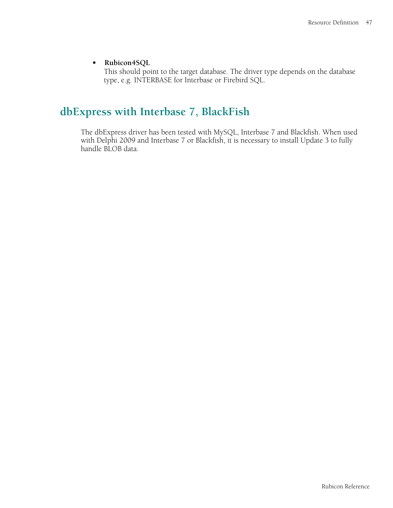#### **• Rubicon4SQL**

This should point to the target database. The driver type depends on the database type, e.g. INTERBASE for Interbase or Firebird SQL.

## **dbExpress with Interbase 7, BlackFish**

The dbExpress driver has been tested with MySQL, Interbase 7 and Blackfish. When used with Delphi 2009 and Interbase 7 or Blackfish, it is necessary to install Update 3 to fully handle BLOB data.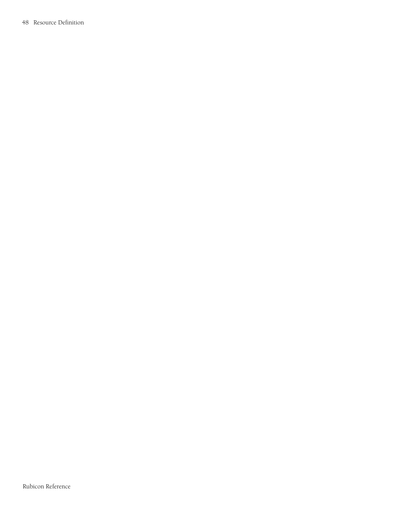48 Resource Definition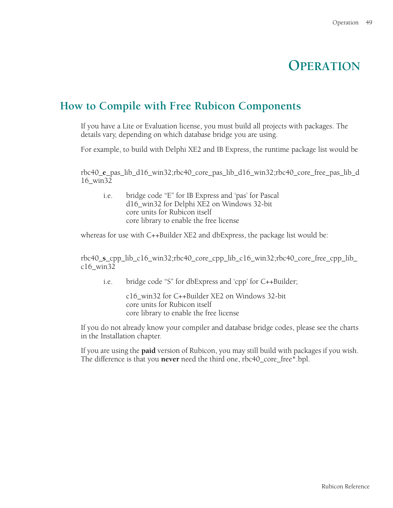# **OPERATION**

## <span id="page-48-0"></span>**How to Compile with Free Rubicon Components**

If you have a Lite or Evaluation license, you must build all projects with packages. The details vary, depending on which database bridge you are using.

For example, to build with Delphi XE2 and IB Express, the runtime package list would be

rbc40\_**e**\_pas\_lib\_d16\_win32;rbc40\_core\_pas\_lib\_d16\_win32;rbc40\_core\_free\_pas\_lib\_d 16\_win32

i.e. bridge code "E" for IB Express and 'pas' for Pascal d16\_win32 for Delphi XE2 on Windows 32-bit core units for Rubicon itself core library to enable the free license

whereas for use with C++Builder XE2 and dbExpress, the package list would be:

rbc40\_**s**\_cpp\_lib\_c16\_win32;rbc40\_core\_cpp\_lib\_c16\_win32;rbc40\_core\_free\_cpp\_lib\_ c16\_win32

i.e. bridge code "S" for dbExpress and 'cpp' for C++Builder;

c16\_win32 for C++Builder XE2 on Windows 32-bit core units for Rubicon itself core library to enable the free license

If you do not already know your compiler and database bridge codes, please see the charts in the Installation chapter.

If you are using the **paid** version of Rubicon, you may still build with packages if you wish. The difference is that you **never** need the third one, rbc40\_core\_free\*.bpl.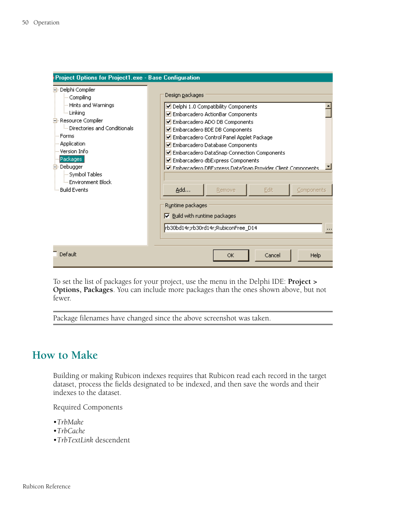| Project Options for Project1.exe - Base Configuration                                                                                                                                                |                                                                                                                                                                                                                                                                                                 |
|------------------------------------------------------------------------------------------------------------------------------------------------------------------------------------------------------|-------------------------------------------------------------------------------------------------------------------------------------------------------------------------------------------------------------------------------------------------------------------------------------------------|
| ⊟- Delphi Compiler<br>--- Compiling<br>-Hints and Warnings<br><sup>i</sup> Linkina<br><b>E</b> Resource Compiler<br>illim Directories and Conditionals<br>-- Forms<br>Application<br>-- Version Info | Design packages<br>◘ Delphi 1.0 Compatibility Components<br>Embarcadero ActionBar Components<br>☑ Embarcadero ADO DB Components<br>Embarcadero BDE DB Components<br>Embarcadero Control Panel Applet Package<br>Embarcadero Database Components<br>☑ Embarcadero DataSnap Connection Components |
| Packages<br>白·Debugger<br>Symbol Tables<br><sup>i</sup> Environment Block.<br><b>Build Events</b>                                                                                                    | ☑ Embarcadero dbExpress Components<br><b>V</b> Embarcadero DBExpress DataSpan Provider Client Components<br>Add<br>Edit<br>Remove<br>Components                                                                                                                                                 |
|                                                                                                                                                                                                      | Runtime packages<br>$\nabla$ Build with runtime packages<br>rb30bd14r;rb30rd14r;RubiconFree_D14                                                                                                                                                                                                 |
| Default                                                                                                                                                                                              | Cancel<br>ОК<br>Help                                                                                                                                                                                                                                                                            |

To set the list of packages for your project, use the menu in the Delphi IDE: **Project > Options, Packages**. You can include more packages than the ones shown above, but not fewer.

Package filenames have changed since the above screenshot was taken.

## **How to Make**

Building or making Rubicon indexes requires that Rubicon read each record in the target dataset, process the fields designated to be indexed, and then save the words and their indexes to the dataset.

Required Components

- •*TrbMake*
- •*TrbCache*
- •*TrbTextLink* descendent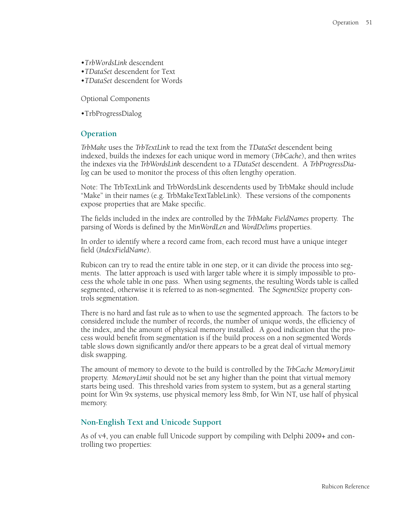- •*TrbWordsLink* descendent
- •*TDataSet* descendent for Text
- •*TDataSet* descendent for Words

Optional Components

•TrbProgressDialog

### **Operation**

*TrbMake* uses the *TrbTextLink* to read the text from the *TDataSet* descendent being indexed, builds the indexes for each unique word in memory (*TrbCache*), and then writes the indexes via the *TrbWordsLink* descendent to a *TDataSet* descendent. A *TrbProgressDialog* can be used to monitor the process of this often lengthy operation.

Note: The TrbTextLink and TrbWordsLink descendents used by TrbMake should include "Make" in their names (e.g. TrbMakeTextTableLink). These versions of the components expose properties that are Make specific.

The fields included in the index are controlled by the *TrbMake FieldNames* property. The parsing of Words is defined by the *MinWordLen* and *WordDelims* properties.

In order to identify where a record came from, each record must have a unique integer field (*IndexFieldName*).

Rubicon can try to read the entire table in one step, or it can divide the process into segments. The latter approach is used with larger table where it is simply impossible to process the whole table in one pass. When using segments, the resulting Words table is called segmented, otherwise it is referred to as non-segmented. The *SegmentSize* property controls segmentation.

There is no hard and fast rule as to when to use the segmented approach. The factors to be considered include the number of records, the number of unique words, the efficiency of the index, and the amount of physical memory installed. A good indication that the process would benefit from segmentation is if the build process on a non segmented Words table slows down significantly and/or there appears to be a great deal of virtual memory disk swapping.

The amount of memory to devote to the build is controlled by the *TrbCache MemoryLimit* property. *MemoryLimit* should not be set any higher than the point that virtual memory starts being used. This threshold varies from system to system, but as a general starting point for Win 9x systems, use physical memory less 8mb, for Win NT, use half of physical memory.

### **Non-English Text and Unicode Support**

As of v4, you can enable full Unicode support by compiling with Delphi 2009+ and controlling two properties: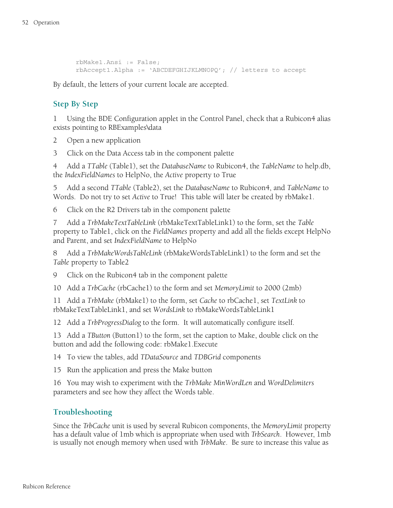```
rbMake1.Ansi := False;
rbAccept1.Alpha := 'ABCDEFGHIJKLMNOPQ'; // letters to accept
```
By default, the letters of your current locale are accepted.

### **Step By Step**

1 Using the BDE Configuration applet in the Control Panel, check that a Rubicon4 alias exists pointing to RBExamples\data

- 2 Open a new application
- 3 Click on the Data Access tab in the component palette

4 Add a *TTable* (Table1), set the *DatabaseName* to Rubicon4, the *TableName* to help.db, the *IndexFieldNames* to HelpNo, the *Active* property to True

5 Add a second *TTable* (Table2), set the *DatabaseName* to Rubicon4, and *TableName* to Words. Do not try to set *Active* to True! This table will later be created by rbMake1.

6 Click on the R2 Drivers tab in the component palette

7 Add a *TrbMakeTextTableLink* (rbMakeTextTableLink1) to the form, set the *Table* property to Table1, click on the *FieldNames* property and add all the fields except HelpNo and Parent, and set *IndexFieldName* to HelpNo

8 Add a *TrbMakeWordsTableLink* (rbMakeWordsTableLink1) to the form and set the *Table* property to Table2

9 Click on the Rubicon4 tab in the component palette

10 Add a *TrbCache* (rbCache1) to the form and set *MemoryLimit* to 2000 (2mb)

11 Add a *TrbMake* (rbMake1) to the form, set *Cache* to rbCache1, set *TextLink* to rbMakeTextTableLink1, and set *WordsLink* to rbMakeWordsTableLink1

12 Add a *TrbProgressDialog* to the form. It will automatically configure itself.

13 Add a *TButton* (Button1) to the form, set the caption to Make, double click on the button and add the following code: rbMake1.Execute

14 To view the tables, add *TDataSource* and *TDBGrid* components

15 Run the application and press the Make button

16 You may wish to experiment with the *TrbMake MinWordLen* and *WordDelimiters* parameters and see how they affect the Words table.

### **Troubleshooting**

Since the *TrbCache* unit is used by several Rubicon components, the *MemoryLimit* property has a default value of 1mb which is appropriate when used with *TrbSearch*. However, 1mb is usually not enough memory when used with *TrbMake*. Be sure to increase this value as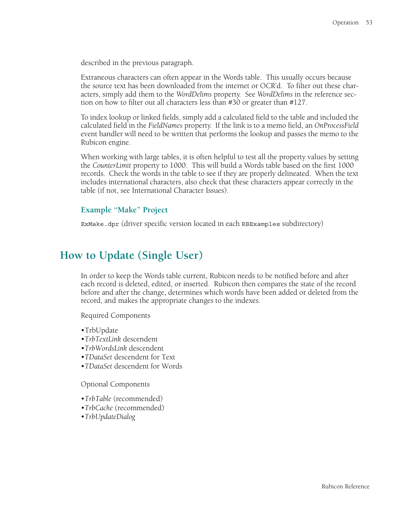described in the previous paragraph.

Extraneous characters can often appear in the Words table. This usually occurs because the source text has been downloaded from the internet or OCR'd. To filter out these characters, simply add them to the *WordDelims* property. See *WordDelims* in the reference section on how to filter out all characters less than #30 or greater than #127.

To index lookup or linked fields, simply add a calculated field to the table and included the calculated field in the *FieldNames* property. If the link is to a memo field, an *OnProcessField* event handler will need to be written that performs the lookup and passes the memo to the Rubicon engine.

When working with large tables, it is often helpful to test all the property values by setting the *CounterLimit* property to 1000. This will build a Words table based on the first 1000 records. Check the words in the table to see if they are properly delineated. When the text includes international characters, also check that these characters appear correctly in the table (if not, see International Character Issues).

### **Example "Make" Project**

ExMake.dpr (driver specific version located in each RBExamples subdirectory)

## **How to Update (Single User)**

In order to keep the Words table current, Rubicon needs to be notified before and after each record is deleted, edited, or inserted. Rubicon then compares the state of the record before and after the change, determines which words have been added or deleted from the record, and makes the appropriate changes to the indexes.

Required Components

- •TrbUpdate
- •*TrbTextLink* descendent
- •*TrbWordsLink* descendent
- •*TDataSet* descendent for Text
- •*TDataSet* descendent for Words

Optional Components

- •*TrbTable* (recommended)
- •*TrbCache* (recommended)
- •*TrbUpdateDialog*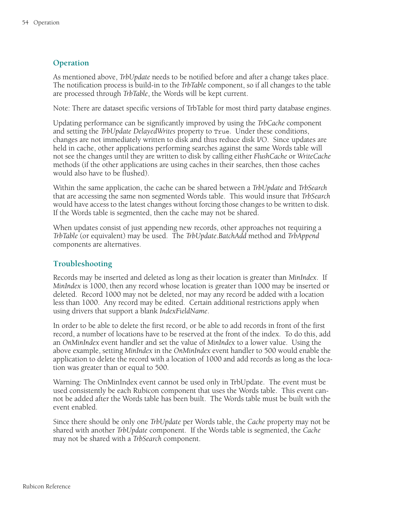## **Operation**

As mentioned above, *TrbUpdate* needs to be notified before and after a change takes place. The notification process is build-in to the *TrbTable* component, so if all changes to the table are processed through *TrbTable*, the Words will be kept current.

Note: There are dataset specific versions of TrbTable for most third party database engines.

Updating performance can be significantly improved by using the *TrbCache* component and setting the *TrbUpdate DelayedWrites* property to True. Under these conditions, changes are not immediately written to disk and thus reduce disk I/O. Since updates are held in cache, other applications performing searches against the same Words table will not see the changes until they are written to disk by calling either *FlushCache* or *WriteCache* methods (if the other applications are using caches in their searches, then those caches would also have to be flushed).

Within the same application, the cache can be shared between a *TrbUpdate* and *TrbSearch* that are accessing the same non segmented Words table. This would insure that *TrbSearch* would have access to the latest changes without forcing those changes to be written to disk. If the Words table is segmented, then the cache may not be shared.

When updates consist of just appending new records, other approaches not requiring a *TrbTable* (or equivalent) may be used. The *TrbUpdate*.*BatchAdd* method and *TrbAppend* components are alternatives.

### **Troubleshooting**

Records may be inserted and deleted as long as their location is greater than *MinIndex*. If *MinIndex* is 1000, then any record whose location is greater than 1000 may be inserted or deleted. Record 1000 may not be deleted, nor may any record be added with a location less than 1000. Any record may be edited. Certain additional restrictions apply when using drivers that support a blank *IndexFieldName*.

In order to be able to delete the first record, or be able to add records in front of the first record, a number of locations have to be reserved at the front of the index. To do this, add an *OnMinIndex* event handler and set the value of *MinIndex* to a lower value. Using the above example, setting *MinIndex* in the *OnMinIndex* event handler to 500 would enable the application to delete the record with a location of 1000 and add records as long as the location was greater than or equal to 500.

Warning: The OnMinIndex event cannot be used only in TrbUpdate. The event must be used consistently be each Rubicon component that uses the Words table. This event cannot be added after the Words table has been built. The Words table must be built with the event enabled.

Since there should be only one *TrbUpdate* per Words table, the *Cache* property may not be shared with another *TrbUpdate* component. If the Words table is segmented, the *Cache* may not be shared with a *TrbSearch* component.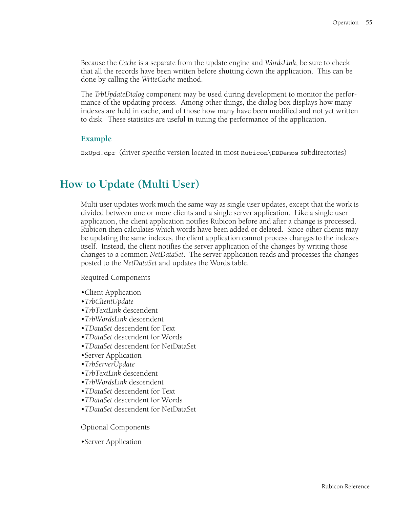Because the *Cache* is a separate from the update engine and *WordsLink*, be sure to check that all the records have been written before shutting down the application. This can be done by calling the *WriteCache* method.

The *TrbUpdateDialog* component may be used during development to monitor the performance of the updating process. Among other things, the dialog box displays how many indexes are held in cache, and of those how many have been modified and not yet written to disk. These statistics are useful in tuning the performance of the application.

## **Example**

ExUpd.dpr (driver specific version located in most Rubicon\DBDemos subdirectories)

## **How to Update (Multi User)**

Multi user updates work much the same way as single user updates, except that the work is divided between one or more clients and a single server application. Like a single user application, the client application notifies Rubicon before and after a change is processed. Rubicon then calculates which words have been added or deleted. Since other clients may be updating the same indexes, the client application cannot process changes to the indexes itself. Instead, the client notifies the server application of the changes by writing those changes to a common *NetDataSet*. The server application reads and processes the changes posted to the *NetDataSet* and updates the Words table.

### Required Components

- •Client Application
- •*TrbClientUpdate*
- •*TrbTextLink* descendent
- •*TrbWordsLink* descendent
- •*TDataSet* descendent for Text
- •*TDataSet* descendent for Words
- •*TDataSet* descendent for NetDataSet
- •Server Application
- •*TrbServerUpdate*
- •*TrbTextLink* descendent
- •*TrbWordsLink* descendent
- •*TDataSet* descendent for Text
- •*TDataSet* descendent for Words
- •*TDataSet* descendent for NetDataSet

### Optional Components

•Server Application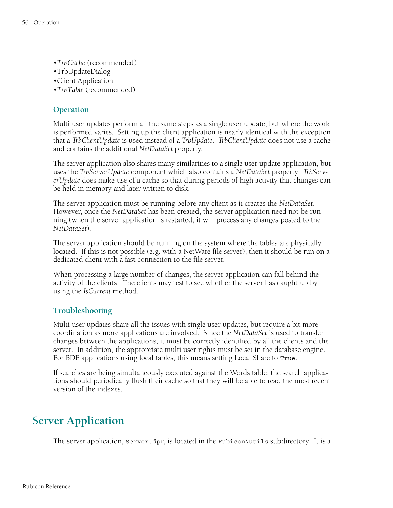- •*TrbCache* (recommended)
- •TrbUpdateDialog
- •Client Application
- •*TrbTable* (recommended)

### **Operation**

Multi user updates perform all the same steps as a single user update, but where the work is performed varies. Setting up the client application is nearly identical with the exception that a *TrbClientUpdate* is used instead of a *TrbUpdate*. *TrbClientUpdate* does not use a cache and contains the additional *NetDataSet* property.

The server application also shares many similarities to a single user update application, but uses the *TrbServerUpdate* component which also contains a *NetDataSet* property. *TrbServerUpdate* does make use of a cache so that during periods of high activity that changes can be held in memory and later written to disk.

The server application must be running before any client as it creates the *NetDataSet*. However, once the *NetDataSet* has been created, the server application need not be running (when the server application is restarted, it will process any changes posted to the *NetDataSet*).

The server application should be running on the system where the tables are physically located. If this is not possible (e.g. with a NetWare file server), then it should be run on a dedicated client with a fast connection to the file server.

When processing a large number of changes, the server application can fall behind the activity of the clients. The clients may test to see whether the server has caught up by using the *IsCurrent* method.

## **Troubleshooting**

Multi user updates share all the issues with single user updates, but require a bit more coordination as more applications are involved. Since the *NetDataSet* is used to transfer changes between the applications, it must be correctly identified by all the clients and the server. In addition, the appropriate multi user rights must be set in the database engine. For BDE applications using local tables, this means setting Local Share to True.

If searches are being simultaneously executed against the Words table, the search applications should periodically flush their cache so that they will be able to read the most recent version of the indexes.

# **Server Application**

The server application, Server.dpr, is located in the Rubicon\utils subdirectory. It is a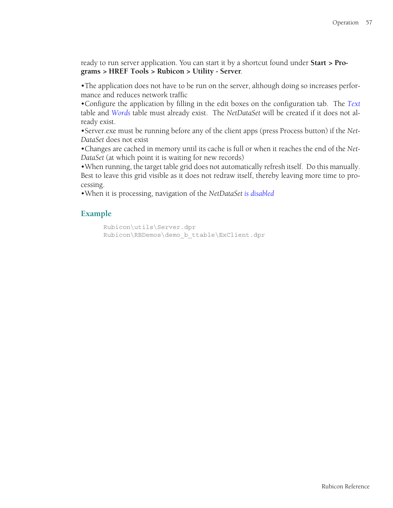ready to run server application. You can start it by a shortcut found under **Start > Programs > HREF Tools > Rubicon > Utility - Server**.

•The application does not have to be run on the server, although doing so increases performance and reduces network traffic

•Configure the application by filling in the edit boxes on the configuration tab. The *Text* table and *Words* table must already exist. The *NetDataSet* will be created if it does not already exist.

•Server.exe must be running before any of the client apps (press Process button) if the *Net-DataSet* does not exist

•Changes are cached in memory until its cache is full or when it reaches the end of the *Net-DataSet* (at which point it is waiting for new records)

•When running, the target table grid does not automatically refresh itself. Do this manually. Best to leave this grid visible as it does not redraw itself, thereby leaving more time to processing.

•When it is processing, navigation of the *NetDataSet is disabled*

### **Example**

```
Rubicon\utils\Server.dpr
Rubicon\RBDemos\demo_b_ttable\ExClient.dpr
```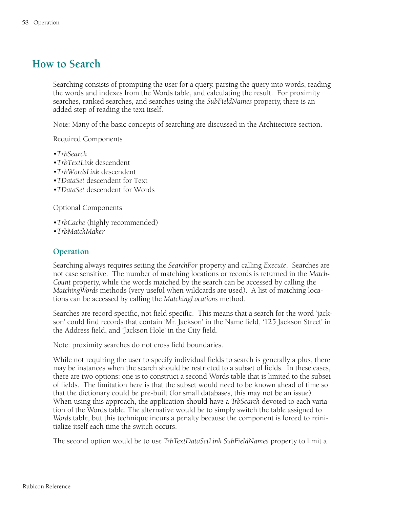## **How to Search**

Searching consists of prompting the user for a query, parsing the query into words, reading the words and indexes from the Words table, and calculating the result. For proximity searches, ranked searches, and searches using the *SubFieldNames* property, there is an added step of reading the text itself.

Note: Many of the basic concepts of searching are discussed in the Architecture section.

Required Components

- •*TrbSearch*
- •*TrbTextLink* descendent
- •*TrbWordsLink* descendent
- •*TDataSet* descendent for Text
- •*TDataSet* descendent for Words

Optional Components

- •*TrbCache* (highly recommended)
- •*TrbMatchMaker*

### **Operation**

Searching always requires setting the *SearchFor* property and calling *Execute*. Searches are not case sensitive. The number of matching locations or records is returned in the *Match-Count* property, while the words matched by the search can be accessed by calling the *MatchingWords* methods (very useful when wildcards are used). A list of matching locations can be accessed by calling the *MatchingLocations* method.

Searches are record specific, not field specific. This means that a search for the word 'jackson' could find records that contain 'Mr. Jackson' in the Name field, '125 Jackson Street' in the Address field, and 'Jackson Hole' in the City field.

Note: proximity searches do not cross field boundaries.

While not requiring the user to specify individual fields to search is generally a plus, there may be instances when the search should be restricted to a subset of fields. In these cases, there are two options: one is to construct a second Words table that is limited to the subset of fields. The limitation here is that the subset would need to be known ahead of time so that the dictionary could be pre-built (for small databases, this may not be an issue). When using this approach, the application should have a *TrbSearch* devoted to each variation of the Words table. The alternative would be to simply switch the table assigned to *Words* table, but this technique incurs a penalty because the component is forced to reinitialize itself each time the switch occurs.

The second option would be to use *TrbTextDataSetLink SubFieldNames* property to limit a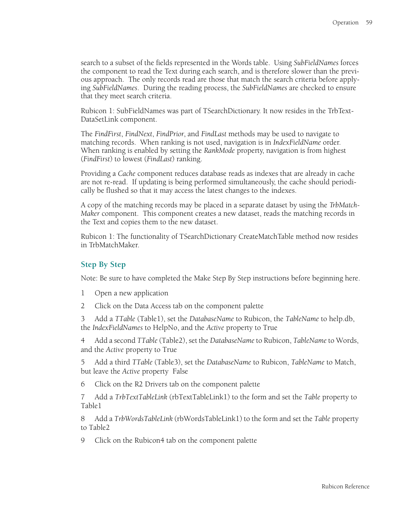search to a subset of the fields represented in the Words table. Using *SubFieldNames* forces the component to read the Text during each search, and is therefore slower than the previous approach. The only records read are those that match the search criteria before applying *SubFieldNames*. During the reading process, the *SubFieldNames* are checked to ensure that they meet search criteria.

Rubicon 1: SubFieldNames was part of TSearchDictionary. It now resides in the TrbText-DataSetLink component.

The *FindFirst*, *FindNext*, *FindPrior*, and *FindLast* methods may be used to navigate to matching records. When ranking is not used, navigation is in *IndexFieldName* order. When ranking is enabled by setting the *RankMode* property, navigation is from highest (*FindFirst*) to lowest (*FindLast*) ranking.

Providing a *Cache* component reduces database reads as indexes that are already in cache are not re-read. If updating is being performed simultaneously, the cache should periodically be flushed so that it may access the latest changes to the indexes.

A copy of the matching records may be placed in a separate dataset by using the *TrbMatch-Maker* component. This component creates a new dataset, reads the matching records in the Text and copies them to the new dataset.

Rubicon 1: The functionality of TSearchDictionary CreateMatchTable method now resides in TrbMatchMaker.

## **Step By Step**

Note: Be sure to have completed the Make Step By Step instructions before beginning here.

- 1 Open a new application
- 2 Click on the Data Access tab on the component palette

3 Add a *TTable* (Table1), set the *DatabaseName* to Rubicon, the *TableName* to help.db, the *IndexFieldNames* to HelpNo, and the *Active* property to True

4 Add a second *TTable* (Table2), set the *DatabaseName* to Rubicon, *TableName* to Words, and the *Active* property to True

5 Add a third *TTable* (Table3), set the *DatabaseName* to Rubicon, *TableName* to Match, but leave the *Active* property False

6 Click on the R2 Drivers tab on the component palette

7 Add a *TrbTextTableLink* (rbTextTableLink1) to the form and set the *Table* property to Table1

8 Add a *TrbWordsTableLink* (rbWordsTableLink1) to the form and set the *Table* property to Table2

9 Click on the Rubicon4 tab on the component palette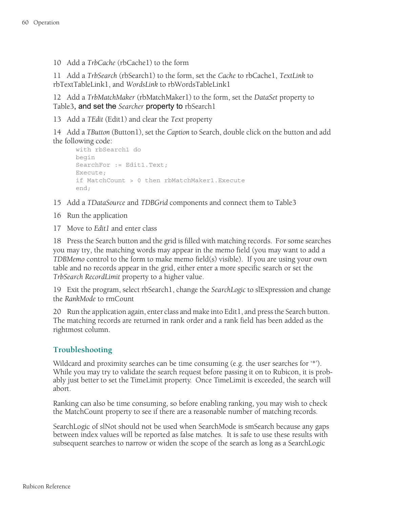10 Add a *TrbCache* (rbCache1) to the form

11 Add a *TrbSearch* (rbSearch1) to the form, set the *Cache* to rbCache1, *TextLink* to rbTextTableLink1, and *WordsLink* to rbWordsTableLink1

12 Add a *TrbMatchMaker* (rbMatchMaker1) to the form, set the *DataSet* property to Table3, and set the *Searcher* property to rbSearch1

13 Add a *TEdit* (Edit1) and clear the *Text* property

14 Add a *TButton* (Button1), set the *Caption* to Search, double click on the button and add the following code:

```
with rbSearch1 do
begin
SearchFor := Edit1.Text;
Execute;
if MatchCount > 0 then rbMatchMaker1.Execute
end;
```
15 Add a *TDataSource* and *TDBGrid* components and connect them to Table3

16 Run the application

17 Move to *Edit1* and enter class

18 Press the Search button and the grid is filled with matching records. For some searches you may try, the matching words may appear in the memo field (you may want to add a *TDBMemo* control to the form to make memo field(s) visible). If you are using your own table and no records appear in the grid, either enter a more specific search or set the *TrbSearch RecordLimit* property to a higher value.

19 Exit the program, select rbSearch1, change the *SearchLogic* to slExpression and change the *RankMode* to rmCount

20 Run the application again, enter class and make into Edit1, and press the Search button. The matching records are returned in rank order and a rank field has been added as the rightmost column.

### **Troubleshooting**

Wildcard and proximity searches can be time consuming (e.g. the user searches for '\*'). While you may try to validate the search request before passing it on to Rubicon, it is probably just better to set the TimeLimit property. Once TimeLimit is exceeded, the search will abort.

Ranking can also be time consuming, so before enabling ranking, you may wish to check the MatchCount property to see if there are a reasonable number of matching records.

SearchLogic of slNot should not be used when SearchMode is smSearch because any gaps between index values will be reported as false matches. It is safe to use these results with subsequent searches to narrow or widen the scope of the search as long as a SearchLogic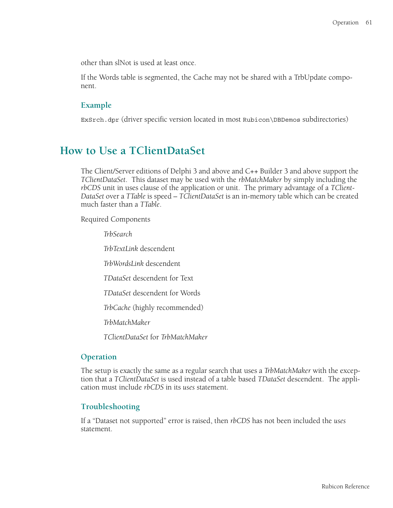other than slNot is used at least once.

If the Words table is segmented, the Cache may not be shared with a TrbUpdate component.

### **Example**

ExSrch.dpr (driver specific version located in most Rubicon\DBDemos subdirectories)

## **How to Use a TClientDataSet**

The Client/Server editions of Delphi 3 and above and C++ Builder 3 and above support the *TClientDataSet*. This dataset may be used with the *rbMatchMaker* by simply including the *rbCDS* unit in uses clause of the application or unit. The primary advantage of a *TClient-DataSet* over a *TTable* is speed – *TClientDataSet* is an in-memory table which can be created much faster than a *TTable*.

Required Components

*TrbSearch*

*TrbTextLink* descendent

*TrbWordsLink* descendent

*TDataSet* descendent for Text

*TDataSet* descendent for Words

*TrbCache* (highly recommended)

*TrbMatchMaker*

*TClientDataSet* for *TrbMatchMaker*

### **Operation**

The setup is exactly the same as a regular search that uses a *TrbMatchMaker* with the exception that a *TClientDataSet* is used instead of a table based *TDataSet* descendent. The application must include *rbCDS* in its *uses* statement.

### **Troubleshooting**

If a "Dataset not supported" error is raised, then *rbCDS* has not been included the *uses* statement.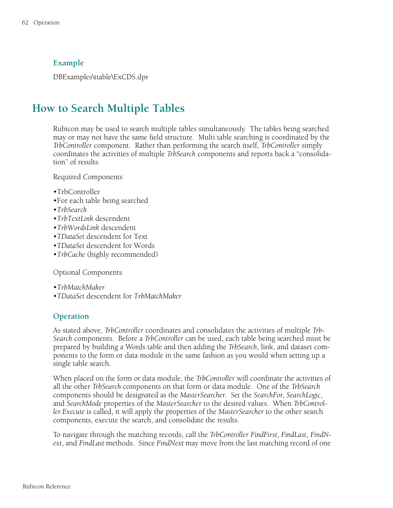## **Example**

DBExamples\ttable\ExCDS.dpr

## **How to Search Multiple Tables**

Rubicon may be used to search multiple tables simultaneously. The tables being searched may or may not have the same field structure. Multi table searching is coordinated by the *TrbController* component. Rather than performing the search itself, *TrbController* simply coordinates the activities of multiple *TrbSearch* components and reports back a "consolidation" of results.

Required Components

- •TrbController
- •For each table being searched
- •*TrbSearch*
- •*TrbTextLink* descendent
- •*TrbWordsLink* descendent
- •*TDataSet* descendent for Text
- •*TDataSet* descendent for Words
- •*TrbCache* (highly recommended)

Optional Components

- •*TrbMatchMaker*
- •*TDataSet* descendent for *TrbMatchMaker*

### **Operation**

As stated above, *TrbController* coordinates and consolidates the activities of multiple *Trb-Search* components. Before a *TrbController* can be used, each table being searched must be prepared by building a Words table and then adding the *TrbSearch*, link, and dataset components to the form or data module in the same fashion as you would when setting up a single table search.

When placed on the form or data module, the *TrbController* will coordinate the activities of all the other *TrbSearch* components on that form or data module. One of the *TrbSearch* components should be designated as the *MasterSearcher*. Set the *SearchFor*, *SearchLogic*, and *SearchMode* properties of the *MasterSearcher* to the desired values. When *TrbController*.*Execute* is called, it will apply the properties of the *MasterSearcher* to the other search components, execute the search, and consolidate the results.

To navigate through the matching records, call the *TrbController FindFirst*, *FindLast*, *FindNext*, and *FindLast* methods. Since *FindNext* may move from the last matching record of one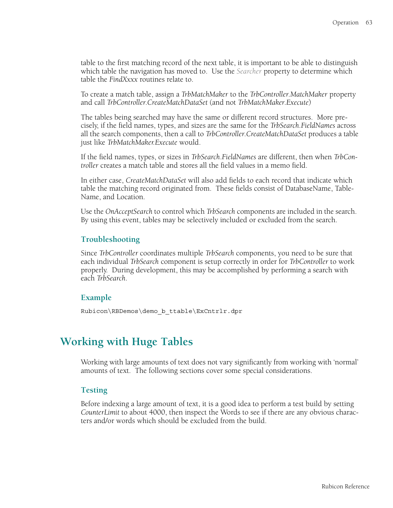table to the first matching record of the next table, it is important to be able to distinguish which table the navigation has moved to. Use the *Searcher* property to determine which table the *FindXxxx* routines relate to.

To create a match table, assign a *TrbMatchMaker* to the *TrbController*.*MatchMaker* property and call *TrbController*.*CreateMatchDataSet* (and not *TrbMatchMaker*.*Execute*)

The tables being searched may have the same or different record structures. More precisely, if the field names, types, and sizes are the same for the *TrbSearch*.*FieldNames* across all the search components, then a call to *TrbController*.*CreateMatchDataSet* produces a table just like *TrbMatchMaker.Execute* would.

If the field names, types, or sizes in *TrbSearch*.*FieldNames* are different, then when *TrbController* creates a match table and stores all the field values in a memo field.

In either case, *CreateMatchDataSet* will also add fields to each record that indicate which table the matching record originated from. These fields consist of DatabaseName, Table-Name, and Location.

Use the *OnAcceptSearch* to control which *TrbSearch* components are included in the search. By using this event, tables may be selectively included or excluded from the search.

### **Troubleshooting**

Since *TrbController* coordinates multiple *TrbSearch* components, you need to be sure that each individual *TrbSearch* component is setup correctly in order for *TrbController* to work properly. During development, this may be accomplished by performing a search with each *TrbSearch*.

#### **Example**

Rubicon\RBDemos\demo\_b\_ttable\ExCntrlr.dpr

## **Working with Huge Tables**

Working with large amounts of text does not vary significantly from working with 'normal' amounts of text. The following sections cover some special considerations.

### **Testing**

Before indexing a large amount of text, it is a good idea to perform a test build by setting *CounterLimit* to about 4000, then inspect the Words to see if there are any obvious characters and/or words which should be excluded from the build.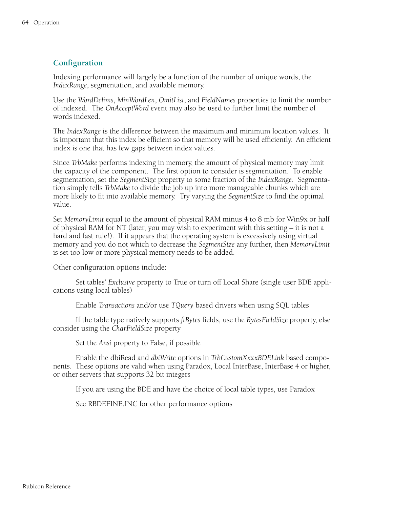### **Configuration**

Indexing performance will largely be a function of the number of unique words, the *IndexRange*, segmentation, and available memory.

Use the *WordDelims*, *MinWordLen*, *OmitList*, and *FieldNames* properties to limit the number of indexed. The *OnAcceptWord* event may also be used to further limit the number of words indexed.

The *IndexRange* is the difference between the maximum and minimum location values. It is important that this index be efficient so that memory will be used efficiently. An efficient index is one that has few gaps between index values.

Since *TrbMake* performs indexing in memory, the amount of physical memory may limit the capacity of the component. The first option to consider is segmentation. To enable segmentation, set the *SegmentSize* property to some fraction of the *IndexRange*. Segmentation simply tells *TrbMake* to divide the job up into more manageable chunks which are more likely to fit into available memory. Try varying the *SegmentSize* to find the optimal value.

Set *MemoryLimit* equal to the amount of physical RAM minus 4 to 8 mb for Win9x or half of physical RAM for NT (later, you may wish to experiment with this setting – it is not a hard and fast rule!). If it appears that the operating system is excessively using virtual memory and you do not which to decrease the *SegmentSize* any further, then *MemoryLimit* is set too low or more physical memory needs to be added.

Other configuration options include:

Set tables' *Exclusive* property to True or turn off Local Share (single user BDE applications using local tables)

Enable *Transactions* and/or use *TQuery* based drivers when using SQL tables

If the table type natively supports *ftBytes* fields, use the *BytesFieldSize* property, else consider using the *CharFieldSize* property

Set the *Ansi* property to False, if possible

Enable the dbiRead and *dbiWrite* options in *TrbCustomXxxxBDELink* based components. These options are valid when using Paradox, Local InterBase, InterBase 4 or higher, or other servers that supports 32 bit integers

If you are using the BDE and have the choice of local table types, use Paradox

See RBDEFINE.INC for other performance options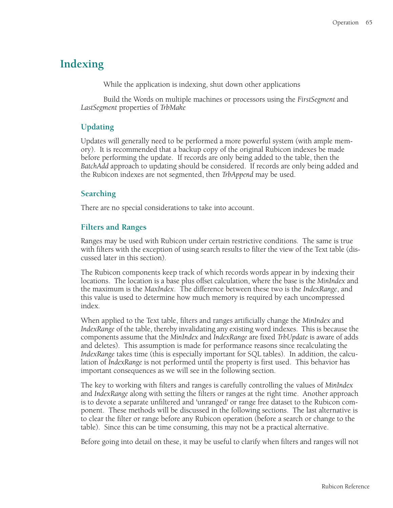## **Indexing**

While the application is indexing, shut down other applications

Build the Words on multiple machines or processors using the *FirstSegment* and *LastSegment* properties of *TrbMake*

### **Updating**

Updates will generally need to be performed a more powerful system (with ample memory). It is recommended that a backup copy of the original Rubicon indexes be made before performing the update. If records are only being added to the table, then the *BatchAdd* approach to updating should be considered. If records are only being added and the Rubicon indexes are not segmented, then *TrbAppend* may be used.

### **Searching**

There are no special considerations to take into account.

### **Filters and Ranges**

Ranges may be used with Rubicon under certain restrictive conditions. The same is true with filters with the exception of using search results to filter the view of the Text table (discussed later in this section).

The Rubicon components keep track of which records words appear in by indexing their locations. The location is a base plus offset calculation, where the base is the *MinIndex* and the maximum is the *MaxIndex*. The difference between these two is the *IndexRange*, and this value is used to determine how much memory is required by each uncompressed index.

When applied to the Text table, filters and ranges artificially change the *MinIndex* and *IndexRange* of the table, thereby invalidating any existing word indexes. This is because the components assume that the *MinIndex* and *IndexRange* are fixed *TrbUpdate* is aware of adds and deletes). This assumption is made for performance reasons since recalculating the *IndexRange* takes time (this is especially important for SQL tables). In addition, the calculation of *IndexRange* is not performed until the property is first used. This behavior has important consequences as we will see in the following section.

The key to working with filters and ranges is carefully controlling the values of *MinIndex* and *IndexRange* along with setting the filters or ranges at the right time. Another approach is to devote a separate unfiltered and 'unranged' or range free dataset to the Rubicon component. These methods will be discussed in the following sections. The last alternative is to clear the filter or range before any Rubicon operation (before a search or change to the table). Since this can be time consuming, this may not be a practical alternative.

Before going into detail on these, it may be useful to clarify when filters and ranges will not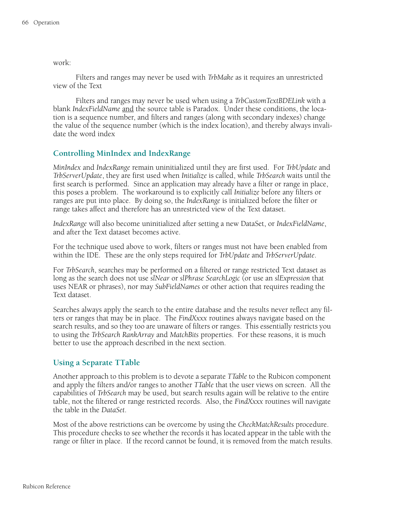work:

Filters and ranges may never be used with *TrbMake* as it requires an unrestricted view of the Text

Filters and ranges may never be used when using a *TrbCustomTextBDELink* with a blank *IndexFieldName* and the source table is Paradox. Under these conditions, the location is a sequence number, and filters and ranges (along with secondary indexes) change the value of the sequence number (which is the index location), and thereby always invalidate the word index

## **Controlling MinIndex and IndexRange**

*MinIndex* and *IndexRange* remain uninitialized until they are first used. For *TrbUpdate* and *TrbServerUpdate*, they are first used when *Initialize* is called, while *TrbSearch* waits until the first search is performed. Since an application may already have a filter or range in place, this poses a problem. The workaround is to explicitly call *Initialize* before any filters or ranges are put into place. By doing so, the *IndexRange* is initialized before the filter or range takes affect and therefore has an unrestricted view of the Text dataset.

*IndexRange* will also become uninitialized after setting a new DataSet, or *IndexFieldName*, and after the Text dataset becomes active.

For the technique used above to work, filters or ranges must not have been enabled from within the IDE. These are the only steps required for *TrbUpdate* and *TrbServerUpdate*.

For *TrbSearch*, searches may be performed on a filtered or range restricted Text dataset as long as the search does not use *slNear* or *slPhrase SearchLogic* (or use an *slExpression* that uses NEAR or phrases), nor may *SubFieldNames* or other action that requires reading the Text dataset.

Searches always apply the search to the entire database and the results never reflect any filters or ranges that may be in place. The *FindXxxx* routines always navigate based on the search results, and so they too are unaware of filters or ranges. This essentially restricts you to using the *TrbSearch RankArray* and *MatchBits* properties. For these reasons, it is much better to use the approach described in the next section.

## **Using a Separate TTable**

Another approach to this problem is to devote a separate *TTable* to the Rubicon component and apply the filters and/or ranges to another *TTable* that the user views on screen. All the capabilities of *TrbSearch* may be used, but search results again will be relative to the entire table, not the filtered or range restricted records. Also, the *FindXxxx* routines will navigate the table in the *DataSet*.

Most of the above restrictions can be overcome by using the *CheckMatchResults* procedure. This procedure checks to see whether the records it has located appear in the table with the range or filter in place. If the record cannot be found, it is removed from the match results.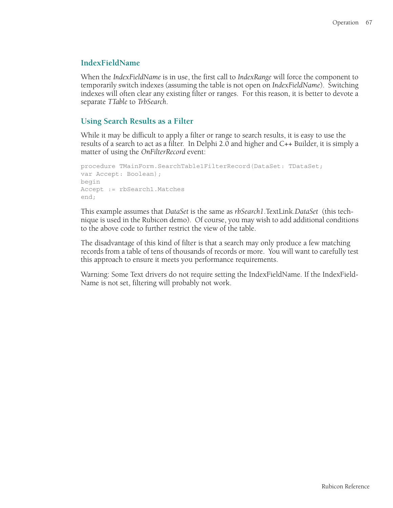## **IndexFieldName**

When the *IndexFieldName* is in use, the first call to *IndexRange* will force the component to temporarily switch indexes (assuming the table is not open on *IndexFieldName*). Switching indexes will often clear any existing filter or ranges. For this reason, it is better to devote a separate *TTable* to *TrbSearch*.

## **Using Search Results as a Filter**

While it may be difficult to apply a filter or range to search results, it is easy to use the results of a search to act as a filter. In Delphi 2.0 and higher and C++ Builder, it is simply a matter of using the *OnFilterRecord* event:

```
procedure TMainForm.SearchTable1FilterRecord(DataSet: TDataSet;
var Accept: Boolean);
begin
Accept := rbSearch1.Matches
end;
```
This example assumes that *DataSet* is the same as *rbSearch1*.TextLink.*DataSet* (this technique is used in the Rubicon demo). Of course, you may wish to add additional conditions to the above code to further restrict the view of the table.

The disadvantage of this kind of filter is that a search may only produce a few matching records from a table of tens of thousands of records or more. You will want to carefully test this approach to ensure it meets you performance requirements.

Warning: Some Text drivers do not require setting the IndexFieldName. If the IndexField-Name is not set, filtering will probably not work.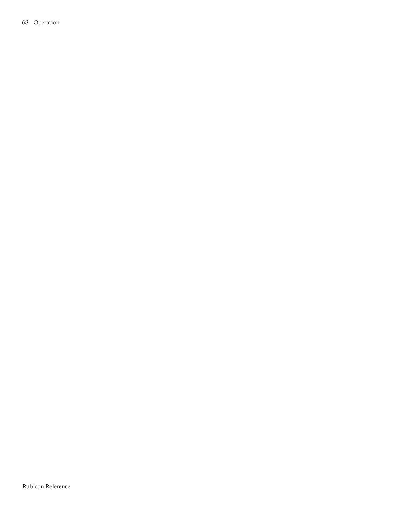68 Operation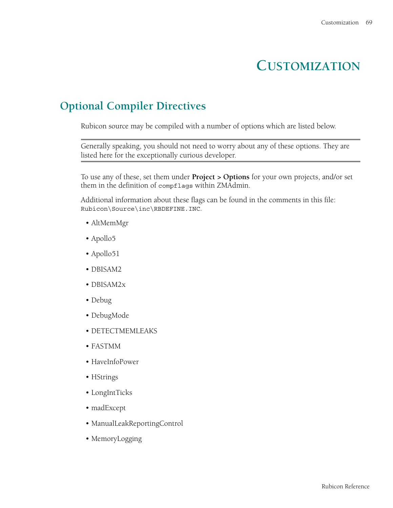# **CUSTOMIZATION**

# **Optional Compiler Directives**

Rubicon source may be compiled with a number of options which are listed below.

Generally speaking, you should not need to worry about any of these options. They are listed here for the exceptionally curious developer.

To use any of these, set them under **Project > Options** for your own projects, and/or set them in the definition of compflags within ZMAdmin.

Additional information about these flags can be found in the comments in this file: Rubicon\Source\inc\RBDEFINE.INC.

- AltMemMgr
- Apollo<sub>5</sub>
- Apollo51
- DBISAM2
- DBISAM2x
- Debug
- DebugMode
- DETECTMEMLEAKS
- FASTMM
- HaveInfoPower
- HStrings
- LongIntTicks
- madExcept
- ManualLeakReportingControl
- MemoryLogging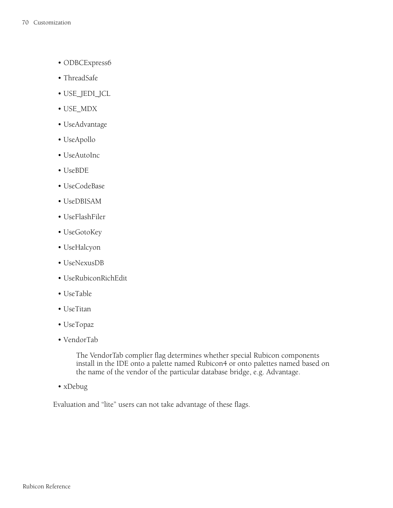- ODBCExpress6
- ThreadSafe
- USE\_JEDI\_JCL
- USE\_MDX
- UseAdvantage
- UseApollo
- UseAutoInc
- UseBDE
- UseCodeBase
- UseDBISAM
- UseFlashFiler
- UseGotoKey
- UseHalcyon
- UseNexusDB
- UseRubiconRichEdit
- UseTable
- UseTitan
- UseTopaz
- VendorTab

The VendorTab complier flag determines whether special Rubicon components install in the IDE onto a palette named Rubicon4 or onto palettes named based on the name of the vendor of the particular database bridge, e.g. Advantage.

• xDebug

Evaluation and "lite" users can not take advantage of these flags.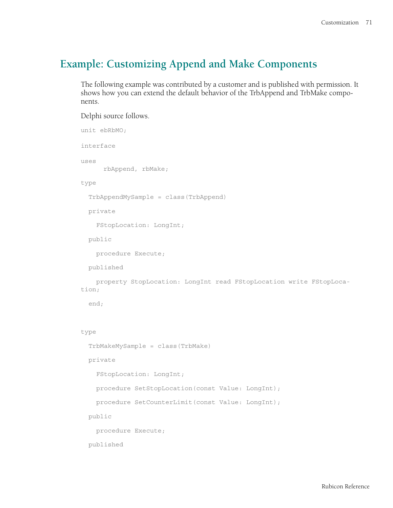## **Example: Customizing Append and Make Components**

The following example was contributed by a customer and is published with permission. It shows how you can extend the default behavior of the TrbAppend and TrbMake components.

#### Delphi source follows.

```
unit ebRbMO;
interface
uses
```
rbAppend, rbMake;

#### type

TrbAppendMySample = class(TrbAppend)

private

```
 FStopLocation: LongInt;
```
public

procedure Execute;

published

 property StopLocation: LongInt read FStopLocation write FStopLocation;

end;

#### type

```
 TrbMakeMySample = class(TrbMake)
```
private

FStopLocation: LongInt;

procedure SetStopLocation(const Value: LongInt);

```
 procedure SetCounterLimit(const Value: LongInt);
```
public

procedure Execute;

published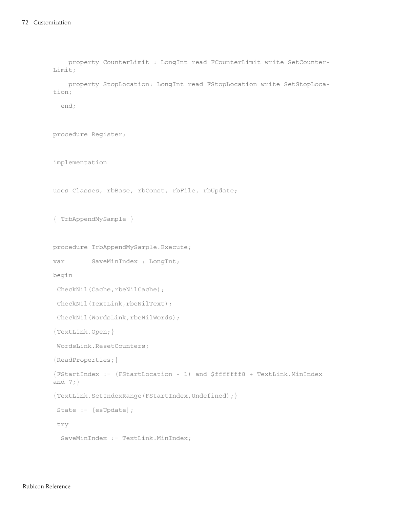```
 property CounterLimit : LongInt read FCounterLimit write SetCounter-
Limit;
     property StopLocation: LongInt read FStopLocation write SetStopLoca-
tion;
   end;
procedure Register;
implementation
uses Classes, rbBase, rbConst, rbFile, rbUpdate;
{ TrbAppendMySample }
procedure TrbAppendMySample.Execute;
var SaveMinIndex : LongInt;
begin
 CheckNil(Cache, rbeNilCache);
 CheckNil(TextLink,rbeNilText);
 CheckNil(WordsLink,rbeNilWords);
{TextLink.Open;} 
  WordsLink.ResetCounters;
{ReadProperties;} 
{FStartIndex := (FStartLocation - 1) and $fffffff8 + TextLink.MinIndex 
and 7;}
{TextLink.SetIndexRange(FStartIndex,Undefined);} 
  State := [esUpdate];
  try
   SaveMinIndex := TextLink.MinIndex;
```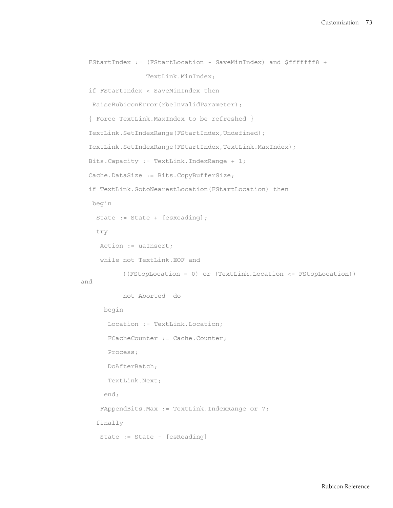```
 FStartIndex := (FStartLocation - SaveMinIndex) and $fffffff8 + 
                   TextLink.MinIndex; 
   if FStartIndex < SaveMinIndex then 
    RaiseRubiconError(rbeInvalidParameter); 
   { Force TextLink.MaxIndex to be refreshed }
   TextLink.SetIndexRange(FStartIndex,Undefined); 
   TextLink.SetIndexRange(FStartIndex,TextLink.MaxIndex); 
   Bits.Capacity := TextLink.IndexRange + 1; 
   Cache.DataSize := Bits.CopyBufferSize; 
   if TextLink.GotoNearestLocation(FStartLocation) then 
    begin 
     State := State + [esReading]; 
     try 
      Action := uaInsert;
      while not TextLink.EOF and
             ((FStopLocation = 0) or (TextLink.Location <= FStopLocation)) 
and
            not Aborted do
       begin
        Location := TextLink.Location;
        FCacheCounter := Cache.Counter;
        Process;
        DoAfterBatch;
        TextLink.Next;
       end;
      FAppendBits.Max := TextLink.IndexRange or 7;
     finally 
      State := State - [esReading]
```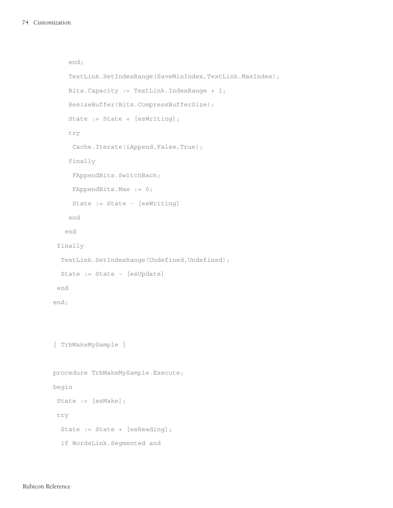```
 end; 
     TextLink.SetIndexRange(SaveMinIndex,TextLink.MaxIndex); 
     Bits.Capacity := TextLink.IndexRange + 1;
     ResizeBuffer(Bits.CompressBufferSize);
     State := State + [esWriting];
     try
     Cache.Iterate(iAppend, False, True);
     finally
      FAppendBits.SwitchBack;
      FAppendBits.Max := 0;
      State := State - [esWriting]
     end
    end 
  finally
  TextLink.SetIndexRange(Undefined,Undefined);
   State := State - [esUpdate]
  end
end;
{ TrbMakeMySample }
procedure TrbMakeMySample.Execute;
begin
  State := [esMake];
  try
   State := State + [esReading];
   if WordsLink.Segmented and
```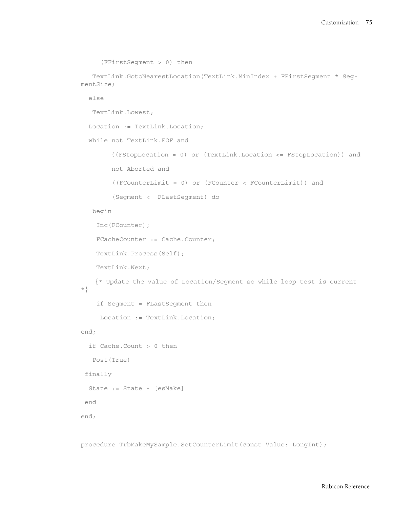```
 (FFirstSegment > 0) then
    TextLink.GotoNearestLocation(TextLink.MinIndex + FFirstSegment * Seg-
mentSize)
   else
    TextLink.Lowest;
   Location := TextLink.Location;
   while not TextLink.EOF and
         ((FStopLocation = 0) or (TextLink.Location <= FStopLocation)) and
         not Aborted and
         ((FCounterLimit = 0) or (FCounter < FCounterLimit)) and
         (Segment <= FLastSegment) do
    begin
     Inc(FCounter);
     FCacheCounter := Cache.Counter;
     TextLink.Process(Self);
     TextLink.Next;
    {* Update the value of Location/Segment so while loop test is current 
*}
     if Segment = FLastSegment then
     Location := TextLink.Location;
end;
  if Cache.Count > 0 then
   Post(True)
  finally
  State := State - [esMake]
  end
end;
```
procedure TrbMakeMySample.SetCounterLimit(const Value: LongInt);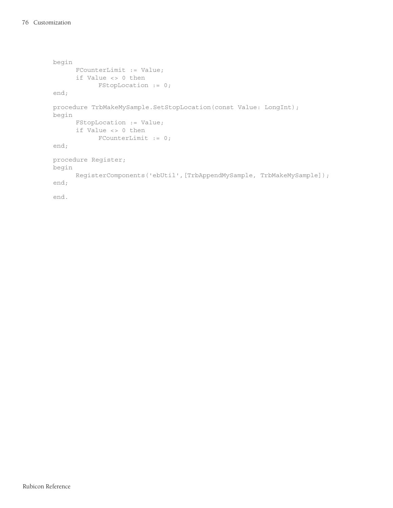```
begin
     FCounterLimit := Value;
     if Value <> 0 then
           FStopLocation := 0;
end;
procedure TrbMakeMySample.SetStopLocation(const Value: LongInt);
begin
     FStopLocation := Value;
     if Value <> 0 then
          FCounterLimit := 0;
end;
procedure Register;
begin
     RegisterComponents('ebUtil',[TrbAppendMySample, TrbMakeMySample]);
end;
end.
```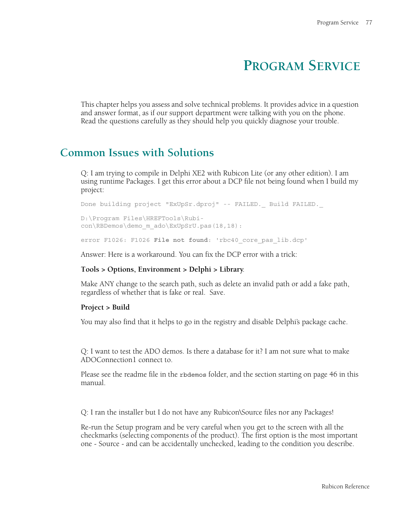# **PROGRAM SERVICE**

This chapter helps you assess and solve technical problems. It provides advice in a question and answer format, as if our support department were talking with you on the phone. Read the questions carefully as they should help you quickly diagnose your trouble.

#### **Common Issues with Solutions**

Q: I am trying to compile in Delphi XE2 with Rubicon Lite (or any other edition). I am using runtime Packages. I get this error about a DCP file not being found when I build my project:

Done building project "ExUpSr.dproj" -- FAILED. Build FAILED.

D:\Program Files\HREFTools\Rubicon\RBDemos\demo\_m\_ado\ExUpSrU.pas(18,18):

error F1026: F1026 **File not found**: 'rbc40\_core\_pas\_lib.dcp'

Answer: Here is a workaround. You can fix the DCP error with a trick:

#### **Tools > Options, Environment > Delphi > Library**.

Make ANY change to the search path, such as delete an invalid path or add a fake path, regardless of whether that is fake or real. Save.

#### **Project > Build**

You may also find that it helps to go in the registry and disable Delphi's package cache.

Q: I want to test the ADO demos. Is there a database for it? I am not sure what to make ADOConnection1 connect to.

Please see the readme file in the rbdemos folder, and the section starting on [page 46](#page-45-0) in this manual.

Q: I ran the installer but I do not have any Rubicon\Source files nor any Packages!

Re-run the Setup program and be very careful when you get to the screen with all the checkmarks (selecting components of the product). The first option is the most important one - Source - and can be accidentally unchecked, leading to the condition you describe.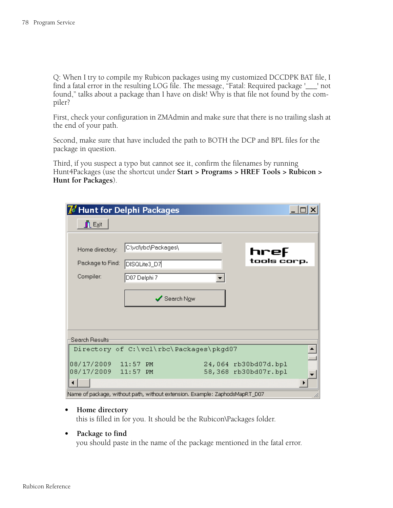Q: When I try to compile my Rubicon packages using my customized DCCDPK BAT file, I find a fatal error in the resulting LOG file. The message, "Fatal: Required package '\_\_\_' not found," talks about a package than I have on disk! Why is that file not found by the compiler?

First, check your configuration in ZMAdmin and make sure that there is no trailing slash at the end of your path.

Second, make sure that have included the path to BOTH the DCP and BPL files for the package in question.

Third, if you suspect a typo but cannot see it, confirm the filenames by running Hunt4Packages (use the shortcut under **Start > Programs > HREF Tools > Rubicon > Hunt for Packages**).

| $\mathcal{U}$ Hunt for Delphi Packages  |                                                                             |  |                                              |  |  |
|-----------------------------------------|-----------------------------------------------------------------------------|--|----------------------------------------------|--|--|
| $\mathbf{\mathring{\mathbb{I}}}$ Exit   |                                                                             |  |                                              |  |  |
|                                         |                                                                             |  |                                              |  |  |
| Home directory:                         | C:\vcl\rbc\Packages\                                                        |  | href                                         |  |  |
| Package to Find:                        | DISQLite3_D7                                                                |  | tools corp.                                  |  |  |
| Compiler:                               | D07 Delphi 7                                                                |  |                                              |  |  |
|                                         | Search Now                                                                  |  |                                              |  |  |
| Search Results <sup>.</sup>             |                                                                             |  |                                              |  |  |
| Directory of C:\vcl\rbc\Packages\pkgd07 |                                                                             |  |                                              |  |  |
| 08/17/2009 11:57<br>08/17/2009 11:57 PM | <b>PM</b>                                                                   |  | 24,064 rb30bd07d.bpl<br>58,368 rb30bd07r.bpl |  |  |
|                                         | Name of package, without path, without extension. Example: ZaphodsMapRT_D07 |  |                                              |  |  |

#### **• Home directory**

this is filled in for you. It should be the Rubicon\Packages folder.

#### **• Package to find**

you should paste in the name of the package mentioned in the fatal error.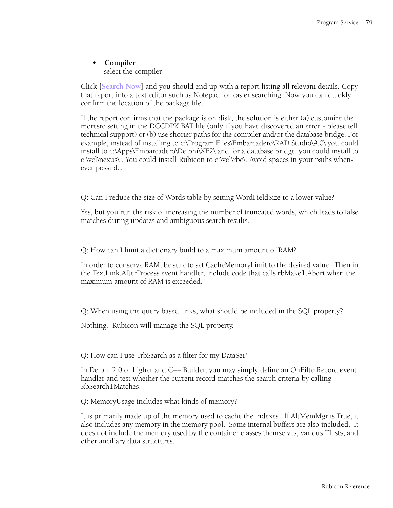#### **• Compiler**

select the compiler

Click [**Search Now**] and you should end up with a report listing all relevant details. Copy that report into a text editor such as Notepad for easier searching. Now you can quickly confirm the location of the package file.

If the report confirms that the package is on disk, the solution is either (a) customize the moresrc setting in the DCCDPK BAT file (only if you have discovered an error - please tell technical support) or (b) use shorter paths for the compiler and/or the database bridge. For example, instead of installing to c:\Program Files\Embarcadero\RAD Studio\9.0\ you could install to c:\Apps\Embarcadero\Delphi\XE2\ and for a database bridge, you could install to c:\vcl\nexus\ . You could install Rubicon to c:\vcl\rbc\. Avoid spaces in your paths whenever possible.

Q: Can I reduce the size of Words table by setting WordFieldSize to a lower value?

Yes, but you run the risk of increasing the number of truncated words, which leads to false matches during updates and ambiguous search results.

Q: How can I limit a dictionary build to a maximum amount of RAM?

In order to conserve RAM, be sure to set CacheMemoryLimit to the desired value. Then in the TextLink.AfterProcess event handler, include code that calls rbMake1.Abort when the maximum amount of RAM is exceeded.

Q: When using the query based links, what should be included in the SQL property?

Nothing. Rubicon will manage the SQL property.

Q: How can I use TrbSearch as a filter for my DataSet?

In Delphi 2.0 or higher and C++ Builder, you may simply define an OnFilterRecord event handler and test whether the current record matches the search criteria by calling RbSearch1Matches.

Q: MemoryUsage includes what kinds of memory?

It is primarily made up of the memory used to cache the indexes. If AltMemMgr is True, it also includes any memory in the memory pool. Some internal buffers are also included. It does not include the memory used by the container classes themselves, various TLists, and other ancillary data structures.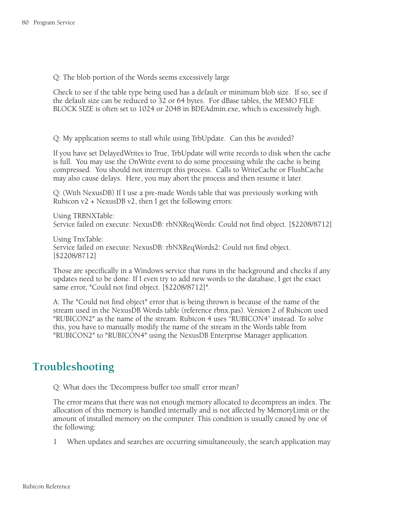Q: The blob portion of the Words seems excessively large

Check to see if the table type being used has a default or minimum blob size. If so, see if the default size can be reduced to 32 or 64 bytes. For dBase tables, the MEMO FILE BLOCK SIZE is often set to 1024 or 2048 in BDEAdmin.exe, which is excessively high.

Q: My application seems to stall while using TrbUpdate. Can this be avoided?

If you have set DelayedWrites to True, TrbUpdate will write records to disk when the cache is full. You may use the OnWrite event to do some processing while the cache is being compressed. You should not interrupt this process. Calls to WriteCache or FlushCache may also cause delays. Here, you may abort the process and then resume it later.

Q: (With NexusDB) If I use a pre-made Words table that was previously working with Rubicon  $v^2$  + NexusDB  $v^2$ , then I get the following errors:

Using TRBNXTable: Service failed on execute: NexusDB: rbNXReqWords: Could not find object. [\$2208/8712]

Using TnxTable: Service failed on execute: NexusDB: rbNXReqWords2: Could not find object. [\$2208/8712]

Those are specifically in a Windows service that runs in the background and checks if any updates need to be done. If I even try to add new words to the database, I get the exact same error, "Could not find object. [\$2208/8712]".

A: The "Could not find object" error that is being thrown is because of the name of the stream used in the NexusDB Words table (reference rbnx.pas). Version 2 of Rubicon used "RUBICON2" as the name of the stream. Rubicon 4 uses "RUBICON4" instead. To solve this, you have to manually modify the name of the stream in the Words table from "RUBICON2" to "RUBICON4" using the NexusDB Enterprise Manager application.

### **Troubleshooting**

Q: What does the 'Decompress buffer too small' error mean?

The error means that there was not enough memory allocated to decompress an index. The allocation of this memory is handled internally and is not affected by MemoryLimit or the amount of installed memory on the computer. This condition is usually caused by one of the following:

1 When updates and searches are occurring simultaneously, the search application may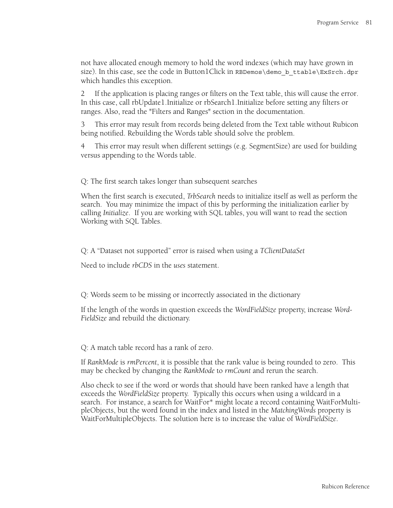not have allocated enough memory to hold the word indexes (which may have grown in size). In this case, see the code in Button1Click in RBDemos \demo b ttable\ExSrch.dpr which handles this exception.

2 If the application is placing ranges or filters on the Text table, this will cause the error. In this case, call rbUpdate1.Initialize or rbSearch1.Initialize before setting any filters or ranges. Also, read the "Filters and Ranges" section in the documentation.

3 This error may result from records being deleted from the Text table without Rubicon being notified. Rebuilding the Words table should solve the problem.

4 This error may result when different settings (e.g. SegmentSize) are used for building versus appending to the Words table.

Q: The first search takes longer than subsequent searches

When the first search is executed, *TrbSearch* needs to initialize itself as well as perform the search. You may minimize the impact of this by performing the initialization earlier by calling *Initialize*. If you are working with SQL tables, you will want to read the section Working with SQL Tables.

Q: A "Dataset not supported" error is raised when using a *TClientDataSet*

Need to include *rbCDS* in the *uses* statement.

Q: Words seem to be missing or incorrectly associated in the dictionary

If the length of the words in question exceeds the *WordFieldSize* property, increase *Word-FieldSize* and rebuild the dictionary.

Q: A match table record has a rank of zero.

If *RankMode* is *rmPercent*, it is possible that the rank value is being rounded to zero. This may be checked by changing the *RankMode* to *rmCount* and rerun the search.

Also check to see if the word or words that should have been ranked have a length that exceeds the *WordFieldSize* property. Typically this occurs when using a wildcard in a search. For instance, a search for WaitFor\* might locate a record containing WaitForMultipleObjects, but the word found in the index and listed in the *MatchingWords* property is WaitForMultipleObjects. The solution here is to increase the value of *WordFieldSize*.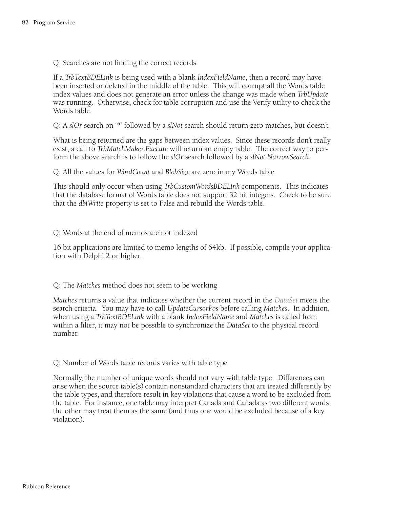Q: Searches are not finding the correct records

If a *TrbTextBDELink* is being used with a blank *IndexFieldName*, then a record may have been inserted or deleted in the middle of the table. This will corrupt all the Words table index values and does not generate an error unless the change was made when *TrbUpdate* was running. Otherwise, check for table corruption and use the Verify utility to check the Words table.

Q: A *slOr* search on '\*' followed by a *slNot* search should return zero matches, but doesn't

What is being returned are the gaps between index values. Since these records don't really exist, a call to *TrbMatchMaker*.*Execute* will return an empty table. The correct way to perform the above search is to follow the *slOr* search followed by a *slNot NarrowSearch*.

Q: All the values for *WordCount* and *BlobSize* are zero in my Words table

This should only occur when using *TrbCustomWordsBDELink* components. This indicates that the database format of Words table does not support 32 bit integers. Check to be sure that the *dbiWrite* property is set to False and rebuild the Words table.

Q: Words at the end of memos are not indexed

16 bit applications are limited to memo lengths of 64kb. If possible, compile your application with Delphi 2 or higher.

Q: The *Matches* method does not seem to be working

*Matches* returns a value that indicates whether the current record in the *DataSet* meets the search criteria. You may have to call *UpdateCursorPos* before calling *Matches*. In addition, when using a *TrbTextBDELink* with a blank *IndexFieldName* and *Matches* is called from within a filter, it may not be possible to synchronize the *DataSet* to the physical record number.

Q: Number of Words table records varies with table type

Normally, the number of unique words should not vary with table type. Differences can arise when the source table(s) contain nonstandard characters that are treated differently by the table types, and therefore result in key violations that cause a word to be excluded from the table. For instance, one table may interpret Canada and Cañada as two different words, the other may treat them as the same (and thus one would be excluded because of a key violation).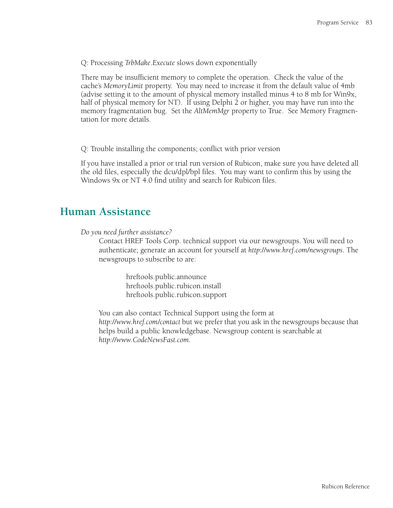Q: Processing *TrbMake*.*Execute* slows down exponentially

There may be insufficient memory to complete the operation. Check the value of the cache's *MemoryLimit* property. You may need to increase it from the default value of 4mb (advise setting it to the amount of physical memory installed minus 4 to 8 mb for Win9x, half of physical memory for NT). If using Delphi 2 or higher, you may have run into the memory fragmentation bug. Set the *AltMemMgr* property to True. See Memory Fragmentation for more details.

Q: Trouble installing the components; conflict with prior version

If you have installed a prior or trial run version of Rubicon, make sure you have deleted all the old files, especially the dcu/dpl/bpl files. You may want to confirm this by using the Windows 9x or NT 4.0 find utility and search for Rubicon files.

#### **Human Assistance**

*Do you need further assistance?*

Contact HREF Tools Corp. technical support via our newsgroups. You will need to authenticate; generate an account for yourself at *http://www.href.com/newsgroups*. The newsgroups to subscribe to are:

> hreftools.public.announce hreftools.public.rubicon.install hreftools.public.rubicon.support

You can also contact Technical Support using the form at *http://www.href.com/contact* but we prefer that you ask in the newsgroups because that helps build a public knowledgebase. Newsgroup content is searchable at *http://www.CodeNewsFast.com.*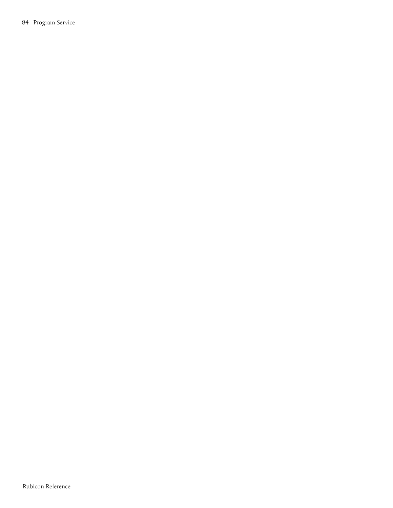84 Program Service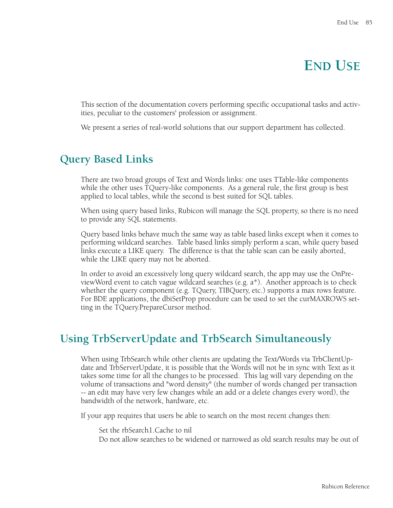# **END USE**

This section of the documentation covers performing specific occupational tasks and activities, peculiar to the customers' profession or assignment.

We present a series of real-world solutions that our support department has collected.

# **Query Based Links**

There are two broad groups of Text and Words links: one uses TTable-like components while the other uses TQuery-like components. As a general rule, the first group is best applied to local tables, while the second is best suited for SQL tables.

When using query based links, Rubicon will manage the SQL property, so there is no need to provide any SQL statements.

Query based links behave much the same way as table based links except when it comes to performing wildcard searches. Table based links simply perform a scan, while query based links execute a LIKE query. The difference is that the table scan can be easily aborted, while the LIKE query may not be aborted.

In order to avoid an excessively long query wildcard search, the app may use the OnPreviewWord event to catch vague wildcard searches (e.g. a\*). Another approach is to check whether the query component (e.g. TQuery, TIBQuery, etc.) supports a max rows feature. For BDE applications, the dbiSetProp procedure can be used to set the curMAXROWS setting in the TQuery.PrepareCursor method.

# **Using TrbServerUpdate and TrbSearch Simultaneously**

When using TrbSearch while other clients are updating the Text/Words via TrbClientUpdate and TrbServerUpdate, it is possible that the Words will not be in sync with Text as it takes some time for all the changes to be processed. This lag will vary depending on the volume of transactions and "word density" (the number of words changed per transaction -- an edit may have very few changes while an add or a delete changes every word), the bandwidth of the network, hardware, etc.

If your app requires that users be able to search on the most recent changes then:

Set the rbSearch1.Cache to nil

Do not allow searches to be widened or narrowed as old search results may be out of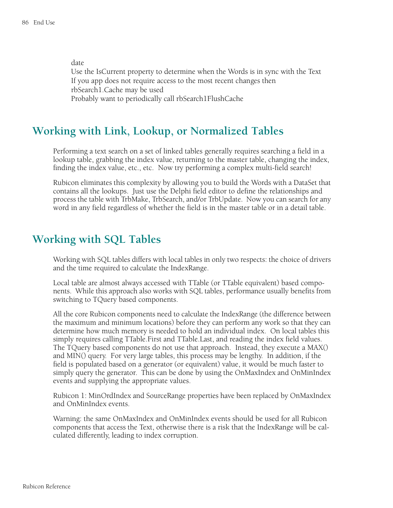date

Use the IsCurrent property to determine when the Words is in sync with the Text If you app does not require access to the most recent changes then rbSearch1.Cache may be used Probably want to periodically call rbSearch1FlushCache

## **Working with Link, Lookup, or Normalized Tables**

Performing a text search on a set of linked tables generally requires searching a field in a lookup table, grabbing the index value, returning to the master table, changing the index, finding the index value, etc., etc. Now try performing a complex multi-field search!

Rubicon eliminates this complexity by allowing you to build the Words with a DataSet that contains all the lookups. Just use the Delphi field editor to define the relationships and process the table with TrbMake, TrbSearch, and/or TrbUpdate. Now you can search for any word in any field regardless of whether the field is in the master table or in a detail table.

### **Working with SQL Tables**

Working with SQL tables differs with local tables in only two respects: the choice of drivers and the time required to calculate the IndexRange.

Local table are almost always accessed with TTable (or TTable equivalent) based components. While this approach also works with SQL tables, performance usually benefits from switching to TQuery based components.

All the core Rubicon components need to calculate the IndexRange (the difference between the maximum and minimum locations) before they can perform any work so that they can determine how much memory is needed to hold an individual index. On local tables this simply requires calling TTable.First and TTable.Last, and reading the index field values. The TQuery based components do not use that approach. Instead, they execute a MAX() and MIN() query. For very large tables, this process may be lengthy. In addition, if the field is populated based on a generator (or equivalent) value, it would be much faster to simply query the generator. This can be done by using the OnMaxIndex and OnMinIndex events and supplying the appropriate values.

Rubicon 1: MinOrdIndex and SourceRange properties have been replaced by OnMaxIndex and OnMinIndex events.

Warning: the same OnMaxIndex and OnMinIndex events should be used for all Rubicon components that access the Text, otherwise there is a risk that the IndexRange will be calculated differently, leading to index corruption.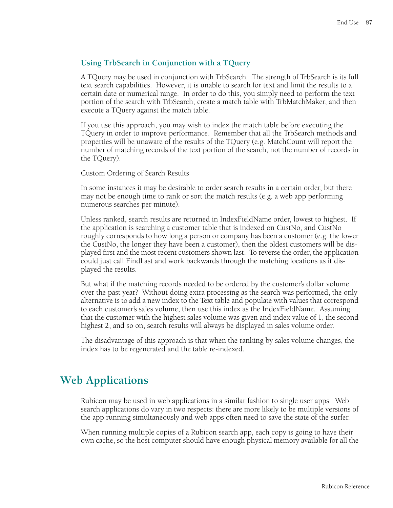#### **Using TrbSearch in Conjunction with a TQuery**

A TQuery may be used in conjunction with TrbSearch. The strength of TrbSearch is its full text search capabilities. However, it is unable to search for text and limit the results to a certain date or numerical range. In order to do this, you simply need to perform the text portion of the search with TrbSearch, create a match table with TrbMatchMaker, and then execute a TQuery against the match table.

If you use this approach, you may wish to index the match table before executing the TQuery in order to improve performance. Remember that all the TrbSearch methods and properties will be unaware of the results of the TQuery (e.g. MatchCount will report the number of matching records of the text portion of the search, not the number of records in the TQuery).

Custom Ordering of Search Results

In some instances it may be desirable to order search results in a certain order, but there may not be enough time to rank or sort the match results (e.g. a web app performing numerous searches per minute).

Unless ranked, search results are returned in IndexFieldName order, lowest to highest. If the application is searching a customer table that is indexed on CustNo, and CustNo roughly corresponds to how long a person or company has been a customer (e.g. the lower the CustNo, the longer they have been a customer), then the oldest customers will be displayed first and the most recent customers shown last. To reverse the order, the application could just call FindLast and work backwards through the matching locations as it displayed the results.

But what if the matching records needed to be ordered by the customer's dollar volume over the past year? Without doing extra processing as the search was performed, the only alternative is to add a new index to the Text table and populate with values that correspond to each customer's sales volume, then use this index as the IndexFieldName. Assuming that the customer with the highest sales volume was given and index value of 1, the second highest 2, and so on, search results will always be displayed in sales volume order.

The disadvantage of this approach is that when the ranking by sales volume changes, the index has to be regenerated and the table re-indexed.

### **Web Applications**

Rubicon may be used in web applications in a similar fashion to single user apps. Web search applications do vary in two respects: there are more likely to be multiple versions of the app running simultaneously and web apps often need to save the state of the surfer.

When running multiple copies of a Rubicon search app, each copy is going to have their own cache, so the host computer should have enough physical memory available for all the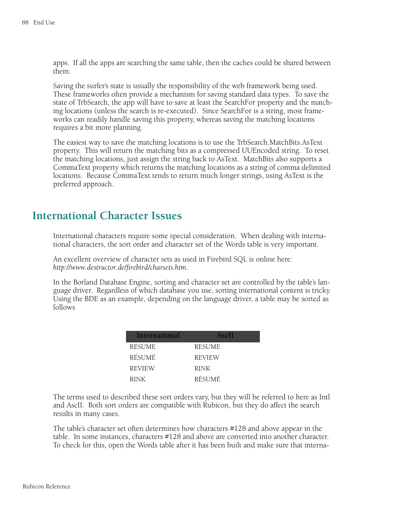apps. If all the apps are searching the same table, then the caches could be shared between them.

Saving the surfer's state is usually the responsibility of the web framework being used. These frameworks often provide a mechanism for saving standard data types. To save the state of TrbSearch, the app will have to save at least the SearchFor property and the matching locations (unless the search is re-executed). Since SearchFor is a string, most frameworks can readily handle saving this property, whereas saving the matching locations requires a bit more planning.

The easiest way to save the matching locations is to use the TrbSearch.MatchBits.AsText property. This will return the matching bits as a compressed UUEncoded string. To reset the matching locations, just assign the string back to AsText. MatchBits also supports a CommaText property which returns the matching locations as a string of comma delimited locations. Because CommaText tends to return much longer strings, using AsText is the preferred approach.

#### **International Character Issues**

International characters require some special consideration. When dealing with international characters, the sort order and character set of the Words table is very important.

An excellent overview of character sets as used in Firebird SQL is online here: *http://www.destructor.de/firebird/charsets.htm*.

In the Borland Database Engine, sorting and character set are controlled by the table's language driver. Regardless of which database you use, sorting international content is tricky. Using the BDE as an example, depending on the language driver, a table may be sorted as follows

| International | AscII         |
|---------------|---------------|
| <b>RESUME</b> | RESUME        |
| RÉSUMÉ        | REVIEW        |
| <b>REVIEW</b> | <b>RINK</b>   |
| RINK          | <b>RÉSUMÉ</b> |

The terms used to described these sort orders vary, but they will be referred to here as Intl and AscII. Both sort orders are compatible with Rubicon, but they do affect the search results in many cases.

The table's character set often determines how characters #128 and above appear in the table. In some instances, characters #128 and above are converted into another character. To check for this, open the Words table after it has been built and make sure that interna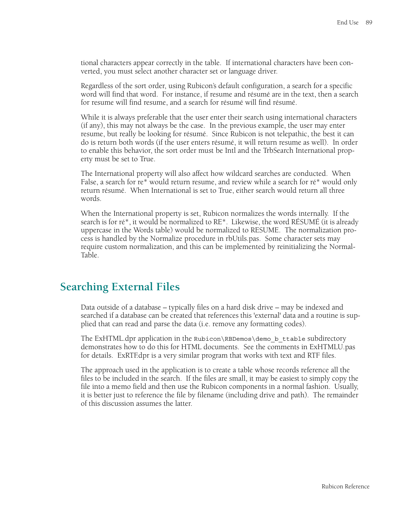tional characters appear correctly in the table. If international characters have been converted, you must select another character set or language driver.

Regardless of the sort order, using Rubicon's default configuration, a search for a specific word will find that word. For instance, if resume and résumé are in the text, then a search for resume will find resume, and a search for résumé will find résumé.

While it is always preferable that the user enter their search using international characters (if any), this may not always be the case. In the previous example, the user may enter resume, but really be looking for résumé. Since Rubicon is not telepathic, the best it can do is return both words (if the user enters résumé, it will return resume as well). In order to enable this behavior, the sort order must be Intl and the TrbSearch International property must be set to True.

The International property will also affect how wildcard searches are conducted. When False, a search for re\* would return resume, and review while a search for ré\* would only return résumé. When International is set to True, either search would return all three words.

When the International property is set, Rubicon normalizes the words internally. If the search is for ré\*, it would be normalized to RE\*. Likewise, the word RÉSUMÉ (it is already uppercase in the Words table) would be normalized to RESUME. The normalization process is handled by the Normalize procedure in rbUtils.pas. Some character sets may require custom normalization, and this can be implemented by reinitializing the Normal-Table.

#### **Searching External Files**

Data outside of a database – typically files on a hard disk drive – may be indexed and searched if a database can be created that references this 'external' data and a routine is supplied that can read and parse the data (i.e. remove any formatting codes).

The ExHTML.dpr application in the Rubicon\RBDemos\demo\_b\_ttable subdirectory demonstrates how to do this for HTML documents. See the comments in ExHTMLU.pas for details. ExRTF.dpr is a very similar program that works with text and RTF files.

The approach used in the application is to create a table whose records reference all the files to be included in the search. If the files are small, it may be easiest to simply copy the file into a memo field and then use the Rubicon components in a normal fashion. Usually, it is better just to reference the file by filename (including drive and path). The remainder of this discussion assumes the latter.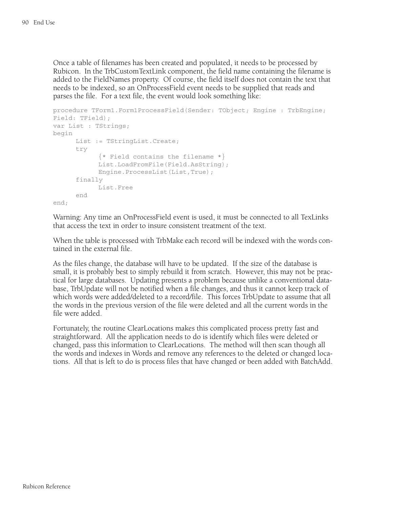Once a table of filenames has been created and populated, it needs to be processed by Rubicon. In the TrbCustomTextLink component, the field name containing the filename is added to the FieldNames property. Of course, the field itself does not contain the text that needs to be indexed, so an OnProcessField event needs to be supplied that reads and parses the file. For a text file, the event would look something like:

```
procedure TForm1.Form1ProcessField(Sender: TObject; Engine : TrbEngine;
Field: TField);
var List : TStrings;
begin
     List := TStringList.Create;
     try
           {* Field contains the filename *}
           List.LoadFromFile(Field.AsString);
           Engine.ProcessList(List,True);
      finally
          List.Free
     end
end;
```
Warning: Any time an OnProcessField event is used, it must be connected to all TexLinks that access the text in order to insure consistent treatment of the text.

When the table is processed with TrbMake each record will be indexed with the words contained in the external file.

As the files change, the database will have to be updated. If the size of the database is small, it is probably best to simply rebuild it from scratch. However, this may not be practical for large databases. Updating presents a problem because unlike a conventional database, TrbUpdate will not be notified when a file changes, and thus it cannot keep track of which words were added/deleted to a record/file. This forces TrbUpdate to assume that all the words in the previous version of the file were deleted and all the current words in the file were added.

Fortunately, the routine ClearLocations makes this complicated process pretty fast and straightforward. All the application needs to do is identify which files were deleted or changed, pass this information to ClearLocations. The method will then scan though all the words and indexes in Words and remove any references to the deleted or changed locations. All that is left to do is process files that have changed or been added with BatchAdd.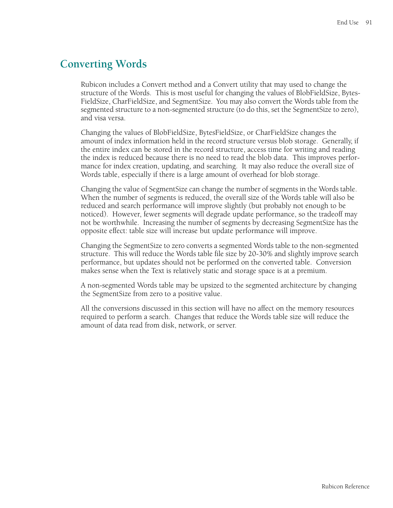### **Converting Words**

Rubicon includes a Convert method and a Convert utility that may used to change the structure of the Words. This is most useful for changing the values of BlobFieldSize, Bytes-FieldSize, CharFieldSize, and SegmentSize. You may also convert the Words table from the segmented structure to a non-segmented structure (to do this, set the SegmentSize to zero), and visa versa.

Changing the values of BlobFieldSize, BytesFieldSize, or CharFieldSize changes the amount of index information held in the record structure versus blob storage. Generally, if the entire index can be stored in the record structure, access time for writing and reading the index is reduced because there is no need to read the blob data. This improves performance for index creation, updating, and searching. It may also reduce the overall size of Words table, especially if there is a large amount of overhead for blob storage.

Changing the value of SegmentSize can change the number of segments in the Words table. When the number of segments is reduced, the overall size of the Words table will also be reduced and search performance will improve slightly (but probably not enough to be noticed). However, fewer segments will degrade update performance, so the tradeoff may not be worthwhile. Increasing the number of segments by decreasing SegmentSize has the opposite effect: table size will increase but update performance will improve.

Changing the SegmentSize to zero converts a segmented Words table to the non-segmented structure. This will reduce the Words table file size by 20-30% and slightly improve search performance, but updates should not be performed on the converted table. Conversion makes sense when the Text is relatively static and storage space is at a premium.

A non-segmented Words table may be upsized to the segmented architecture by changing the SegmentSize from zero to a positive value.

All the conversions discussed in this section will have no affect on the memory resources required to perform a search. Changes that reduce the Words table size will reduce the amount of data read from disk, network, or server.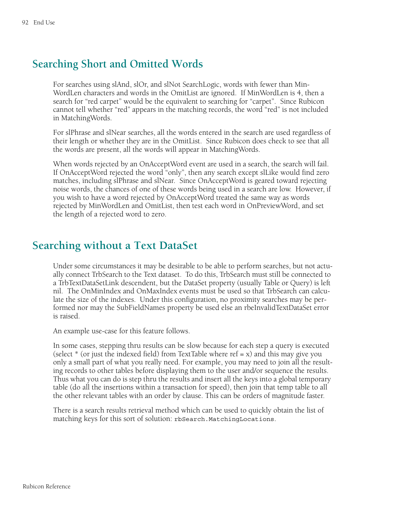# **Searching Short and Omitted Words**

For searches using slAnd, slOr, and slNot SearchLogic, words with fewer than Min-WordLen characters and words in the OmitList are ignored. If MinWordLen is 4, then a search for "red carpet" would be the equivalent to searching for "carpet". Since Rubicon cannot tell whether "red" appears in the matching records, the word "red" is not included in MatchingWords.

For slPhrase and slNear searches, all the words entered in the search are used regardless of their length or whether they are in the OmitList. Since Rubicon does check to see that all the words are present, all the words will appear in MatchingWords.

When words rejected by an OnAcceptWord event are used in a search, the search will fail. If OnAcceptWord rejected the word "only", then any search except slLike would find zero matches, including slPhrase and slNear. Since OnAcceptWord is geared toward rejecting noise words, the chances of one of these words being used in a search are low. However, if you wish to have a word rejected by OnAcceptWord treated the same way as words rejected by MinWordLen and OmitList, then test each word in OnPreviewWord, and set the length of a rejected word to zero.

## **Searching without a Text DataSet**

Under some circumstances it may be desirable to be able to perform searches, but not actually connect TrbSearch to the Text dataset. To do this, TrbSearch must still be connected to a TrbTextDataSetLink descendent, but the DataSet property (usually Table or Query) is left nil. The OnMinIndex and OnMaxIndex events must be used so that TrbSearch can calculate the size of the indexes. Under this configuration, no proximity searches may be performed nor may the SubFieldNames property be used else an rbeInvalidTextDataSet error is raised.

An example use-case for this feature follows.

In some cases, stepping thru results can be slow because for each step a query is executed (select  $*$  (or just the indexed field) from TextTable where ref  $= x$ ) and this may give you only a small part of what you really need. For example, you may need to join all the resulting records to other tables before displaying them to the user and/or sequence the results. Thus what you can do is step thru the results and insert all the keys into a global temporary table (do all the insertions within a transaction for speed), then join that temp table to all the other relevant tables with an order by clause. This can be orders of magnitude faster.

There is a search results retrieval method which can be used to quickly obtain the list of matching keys for this sort of solution: rbSearch.MatchingLocations.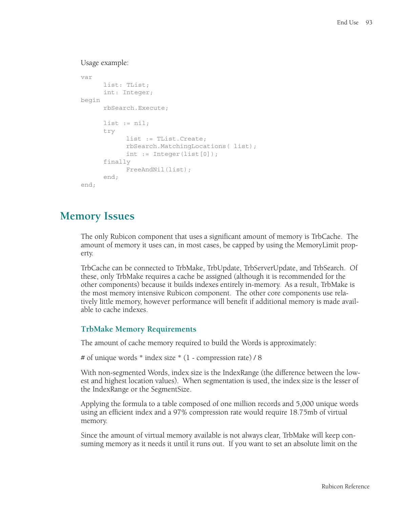#### Usage example:

```
var 
     list: TList;
     int: Integer;
begin
     rbSearch.Execute;
     list := nil;try
           list := TList.Create;
           rbSearch.MatchingLocations( list);
           int := Integer(list[0]);finally
           FreeAndNil(list);
     end;
end;
```
#### **Memory Issues**

The only Rubicon component that uses a significant amount of memory is TrbCache. The amount of memory it uses can, in most cases, be capped by using the MemoryLimit property.

TrbCache can be connected to TrbMake, TrbUpdate, TrbServerUpdate, and TrbSearch. Of these, only TrbMake requires a cache be assigned (although it is recommended for the other components) because it builds indexes entirely in-memory. As a result, TrbMake is the most memory intensive Rubicon component. The other core components use relatively little memory, however performance will benefit if additional memory is made available to cache indexes.

#### **TrbMake Memory Requirements**

The amount of cache memory required to build the Words is approximately:

```
# of unique words * index size * (1 - compression rate) / 8
```
With non-segmented Words, index size is the IndexRange (the difference between the lowest and highest location values). When segmentation is used, the index size is the lesser of the IndexRange or the SegmentSize.

Applying the formula to a table composed of one million records and 5,000 unique words using an efficient index and a 97% compression rate would require 18.75mb of virtual memory.

Since the amount of virtual memory available is not always clear, TrbMake will keep consuming memory as it needs it until it runs out. If you want to set an absolute limit on the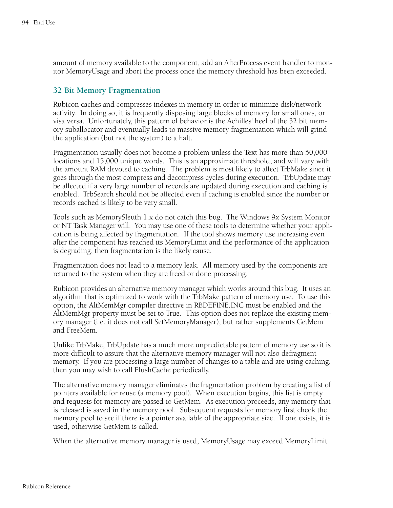amount of memory available to the component, add an AfterProcess event handler to monitor MemoryUsage and abort the process once the memory threshold has been exceeded.

#### **32 Bit Memory Fragmentation**

Rubicon caches and compresses indexes in memory in order to minimize disk/network activity. In doing so, it is frequently disposing large blocks of memory for small ones, or visa versa. Unfortunately, this pattern of behavior is the Achilles' heel of the 32 bit memory suballocator and eventually leads to massive memory fragmentation which will grind the application (but not the system) to a halt.

Fragmentation usually does not become a problem unless the Text has more than 50,000 locations and 15,000 unique words. This is an approximate threshold, and will vary with the amount RAM devoted to caching. The problem is most likely to affect TrbMake since it goes through the most compress and decompress cycles during execution. TrbUpdate may be affected if a very large number of records are updated during execution and caching is enabled. TrbSearch should not be affected even if caching is enabled since the number or records cached is likely to be very small.

Tools such as MemorySleuth 1.x do not catch this bug. The Windows 9x System Monitor or NT Task Manager will. You may use one of these tools to determine whether your application is being affected by fragmentation. If the tool shows memory use increasing even after the component has reached its MemoryLimit and the performance of the application is degrading, then fragmentation is the likely cause.

Fragmentation does not lead to a memory leak. All memory used by the components are returned to the system when they are freed or done processing.

Rubicon provides an alternative memory manager which works around this bug. It uses an algorithm that is optimized to work with the TrbMake pattern of memory use. To use this option, the AltMemMgr compiler directive in RBDEFINE.INC must be enabled and the AltMemMgr property must be set to True. This option does not replace the existing memory manager (i.e. it does not call SetMemoryManager), but rather supplements GetMem and FreeMem.

Unlike TrbMake, TrbUpdate has a much more unpredictable pattern of memory use so it is more difficult to assure that the alternative memory manager will not also defragment memory. If you are processing a large number of changes to a table and are using caching, then you may wish to call FlushCache periodically.

The alternative memory manager eliminates the fragmentation problem by creating a list of pointers available for reuse (a memory pool). When execution begins, this list is empty and requests for memory are passed to GetMem. As execution proceeds, any memory that is released is saved in the memory pool. Subsequent requests for memory first check the memory pool to see if there is a pointer available of the appropriate size. If one exists, it is used, otherwise GetMem is called.

When the alternative memory manager is used, MemoryUsage may exceed MemoryLimit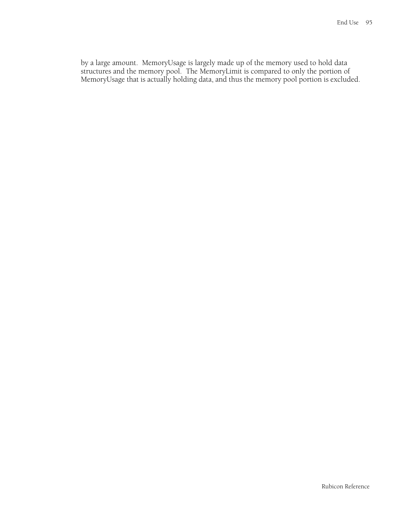by a large amount. MemoryUsage is largely made up of the memory used to hold data structures and the memory pool. The MemoryLimit is compared to only the portion of MemoryUsage that is actually holding data, and thus the memory pool portion is excluded.